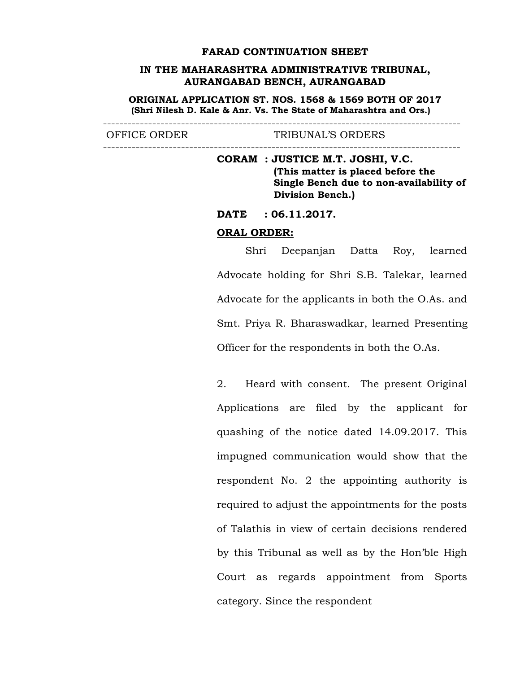#### **FARAD CONTINUATION SHEET**

# **IN THE MAHARASHTRA ADMINISTRATIVE TRIBUNAL, AURANGABAD BENCH, AURANGABAD**

**ORIGINAL APPLICATION ST. NOS. 1568 & 1569 BOTH OF 2017 (Shri Nilesh D. Kale & Anr. Vs. The State of Maharashtra and Ors.)**

--------------------------------------------------------------------------------------- OFFICE ORDER TRIBUNAL'S ORDERS

---------------------------------------------------------------------------------------

**CORAM : JUSTICE M.T. JOSHI, V.C. (This matter is placed before the Single Bench due to non-availability of Division Bench.)**

**DATE : 06.11.2017.**

#### **ORAL ORDER:**

Shri Deepanjan Datta Roy, learned Advocate holding for Shri S.B. Talekar, learned Advocate for the applicants in both the O.As. and Smt. Priya R. Bharaswadkar, learned Presenting Officer for the respondents in both the O.As.

2. Heard with consent. The present Original Applications are filed by the applicant for quashing of the notice dated 14.09.2017. This impugned communication would show that the respondent No. 2 the appointing authority is required to adjust the appointments for the posts of Talathis in view of certain decisions rendered by this Tribunal as well as by the Hon'ble High Court as regards appointment from Sports category. Since the respondent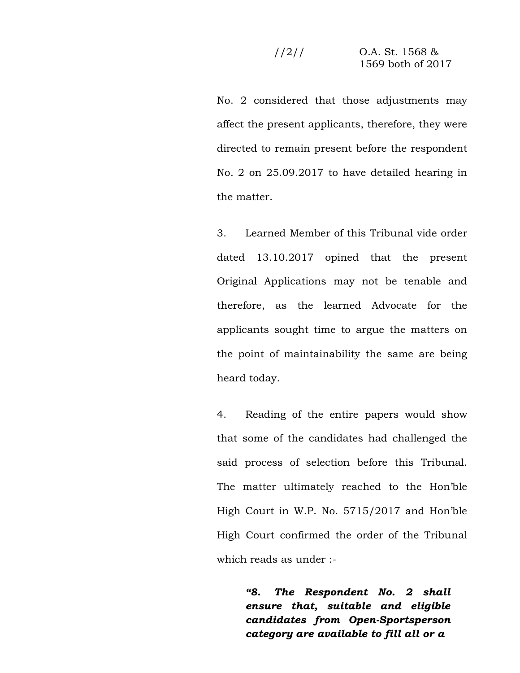No. 2 considered that those adjustments may affect the present applicants, therefore, they were directed to remain present before the respondent No. 2 on 25.09.2017 to have detailed hearing in the matter.

3. Learned Member of this Tribunal vide order dated 13.10.2017 opined that the present Original Applications may not be tenable and therefore, as the learned Advocate for the applicants sought time to argue the matters on the point of maintainability the same are being heard today.

4. Reading of the entire papers would show that some of the candidates had challenged the said process of selection before this Tribunal. The matter ultimately reached to the Hon'ble High Court in W.P. No. 5715/2017 and Hon'ble High Court confirmed the order of the Tribunal which reads as under :-

> *"8. The Respondent No. 2 shall ensure that, suitable and eligible candidates from Open-Sportsperson category are available to fill all or a*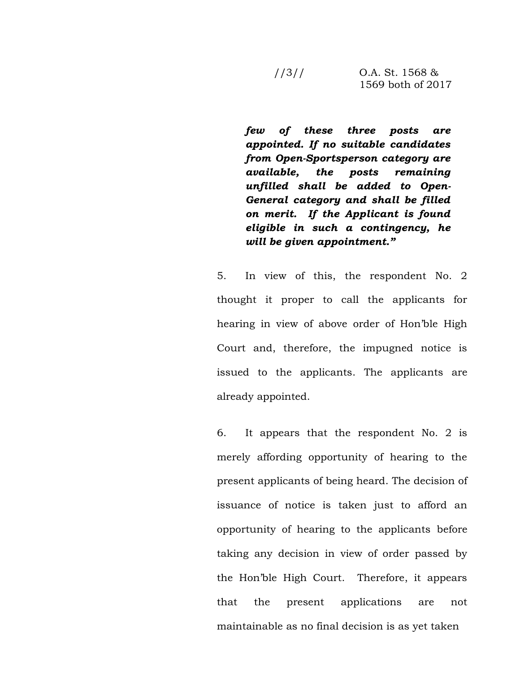$1/3$  / O.A. St. 1568 & 1569 both of 2017

*few of these three posts are appointed. If no suitable candidates from Open-Sportsperson category are available, the posts remaining unfilled shall be added to Open- General category and shall be filled on merit. If the Applicant is found eligible in such a contingency, he will be given appointment."*

5. In view of this, the respondent No. 2 thought it proper to call the applicants for hearing in view of above order of Hon'ble High Court and, therefore, the impugned notice is issued to the applicants. The applicants are already appointed.

6. It appears that the respondent No. 2 is merely affording opportunity of hearing to the present applicants of being heard. The decision of issuance of notice is taken just to afford an opportunity of hearing to the applicants before taking any decision in view of order passed by the Hon'ble High Court. Therefore, it appears that the present applications are not maintainable as no final decision is as yet taken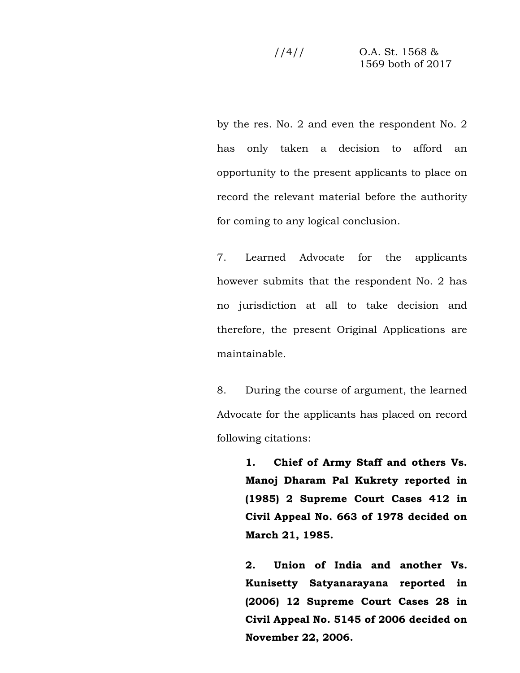$1/4$ // O.A. St. 1568 & 1569 both of 2017

by the res. No. 2 and even the respondent No. 2 has only taken a decision to afford an opportunity to the present applicants to place on record the relevant material before the authority for coming to any logical conclusion.

7. Learned Advocate for the applicants however submits that the respondent No. 2 has no jurisdiction at all to take decision and therefore, the present Original Applications are maintainable.

8. During the course of argument, the learned Advocate for the applicants has placed on record following citations:

> **1. Chief of Army Staff and others Vs. Manoj Dharam Pal Kukrety reported in (1985) 2 Supreme Court Cases 412 in Civil Appeal No. 663 of 1978 decided on March 21, 1985.**

> **2. Union of India and another Vs. Kunisetty Satyanarayana reported in (2006) 12 Supreme Court Cases 28 in Civil Appeal No. 5145 of 2006 decided on November 22, 2006.**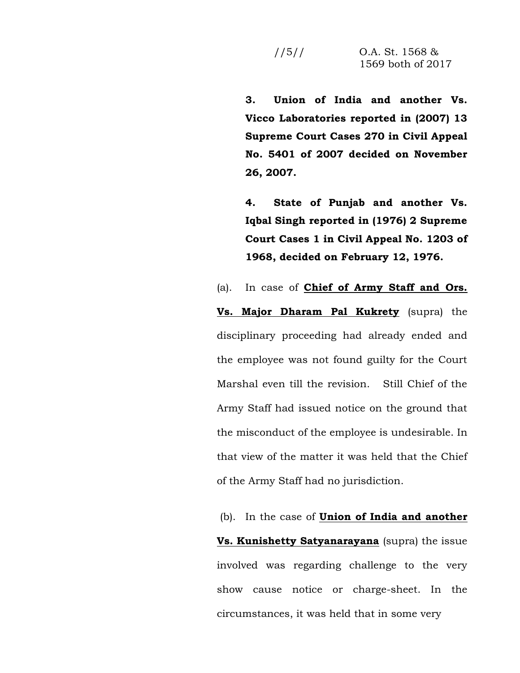**3. Union of India and another Vs. Vicco Laboratories reported in (2007) 13 Supreme Court Cases 270 in Civil Appeal No. 5401 of 2007 decided on November 26, 2007.**

**4. State of Punjab and another Vs. Iqbal Singh reported in (1976) 2 Supreme Court Cases 1 in Civil Appeal No. 1203 of 1968, decided on February 12, 1976.**

(a). In case of **Chief of Army Staff and Ors.**

**Vs. Major Dharam Pal Kukrety** (supra) the disciplinary proceeding had already ended and the employee was not found guilty for the Court Marshal even till the revision. Still Chief of the Army Staff had issued notice on the ground that the misconduct of the employee is undesirable. In that view of the matter it was held that the Chief of the Army Staff had no jurisdiction.

(b). In the case of **Union of India and another Vs. Kunishetty Satyanarayana** (supra) the issue involved was regarding challenge to the very show cause notice or charge-sheet. In the circumstances, it was held that in some very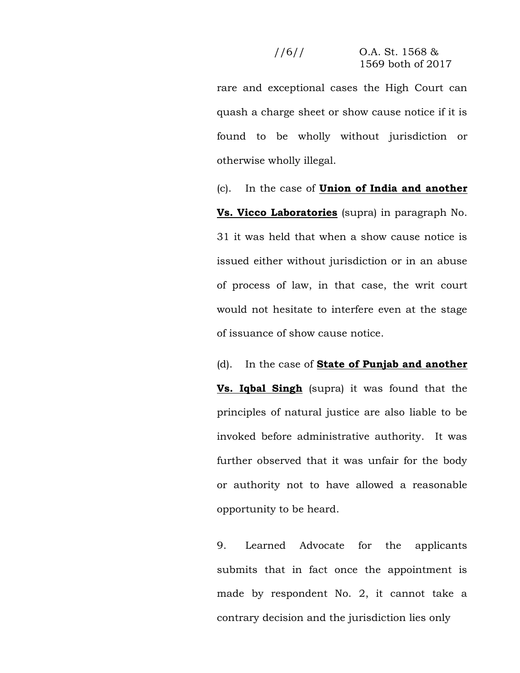# $1/6$  / O.A. St. 1568 & 1569 both of 2017

rare and exceptional cases the High Court can quash a charge sheet or show cause notice if it is found to be wholly without jurisdiction or otherwise wholly illegal.

(c). In the case of **Union of India and another Vs. Vicco Laboratories** (supra) in paragraph No. 31 it was held that when a show cause notice is issued either without jurisdiction or in an abuse of process of law, in that case, the writ court would not hesitate to interfere even at the stage of issuance of show cause notice.

(d). In the case of **State of Punjab and another Vs. Iqbal Singh** (supra) it was found that the principles of natural justice are also liable to be invoked before administrative authority. It was further observed that it was unfair for the body or authority not to have allowed a reasonable opportunity to be heard.

9. Learned Advocate for the applicants submits that in fact once the appointment is made by respondent No. 2, it cannot take a contrary decision and the jurisdiction lies only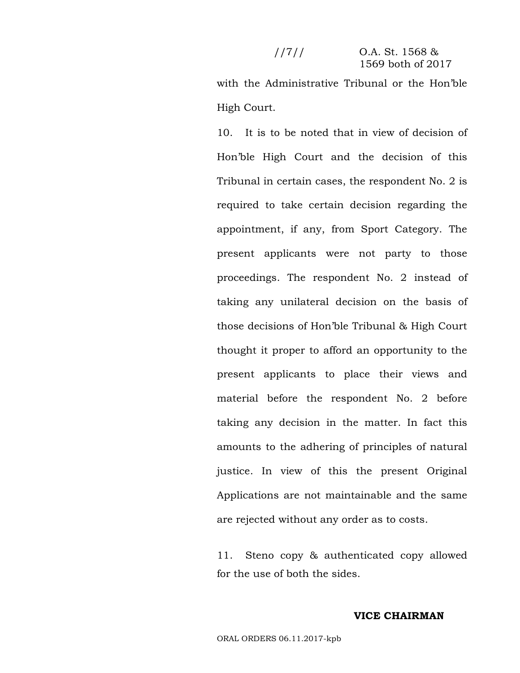# $1/7$ // O.A. St. 1568 & 1569 both of 2017

with the Administrative Tribunal or the Hon'ble High Court.

10. It is to be noted that in view of decision of Hon'ble High Court and the decision of this Tribunal in certain cases, the respondent No. 2 is required to take certain decision regarding the appointment, if any, from Sport Category. The present applicants were not party to those proceedings. The respondent No. 2 instead of taking any unilateral decision on the basis of those decisions of Hon'ble Tribunal & High Court thought it proper to afford an opportunity to the present applicants to place their views and material before the respondent No. 2 before taking any decision in the matter. In fact this amounts to the adhering of principles of natural justice. In view of this the present Original Applications are not maintainable and the same are rejected without any order as to costs.

11. Steno copy & authenticated copy allowed for the use of both the sides.

### **VICE CHAIRMAN**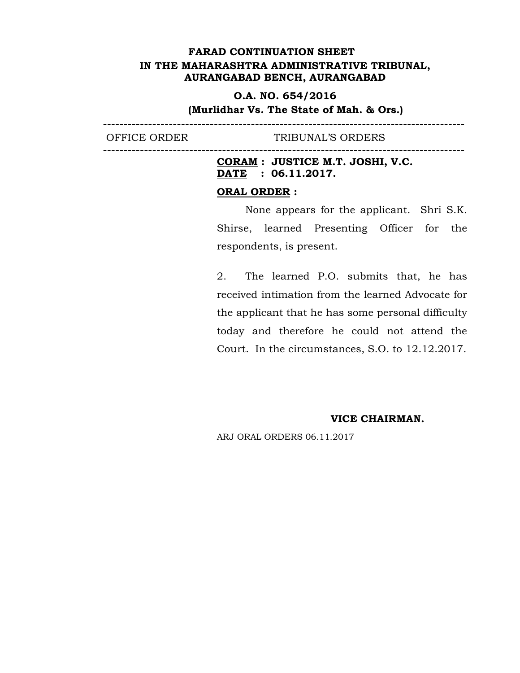----------------------------------------------------------------------------------------

----------------------------------------------------------------------------------------

# **O.A. NO. 654/2016**

# **(Murlidhar Vs. The State of Mah. & Ors.)**

OFFICE ORDER TRIBUNAL'S ORDERS

# **CORAM : JUSTICE M.T. JOSHI, V.C. DATE : 06.11.2017.**

# **ORAL ORDER :**

None appears for the applicant. Shri S.K. Shirse, learned Presenting Officer for the respondents, is present.

2. The learned P.O. submits that, he has received intimation from the learned Advocate for the applicant that he has some personal difficulty today and therefore he could not attend the Court. In the circumstances, S.O. to 12.12.2017.

### **VICE CHAIRMAN.**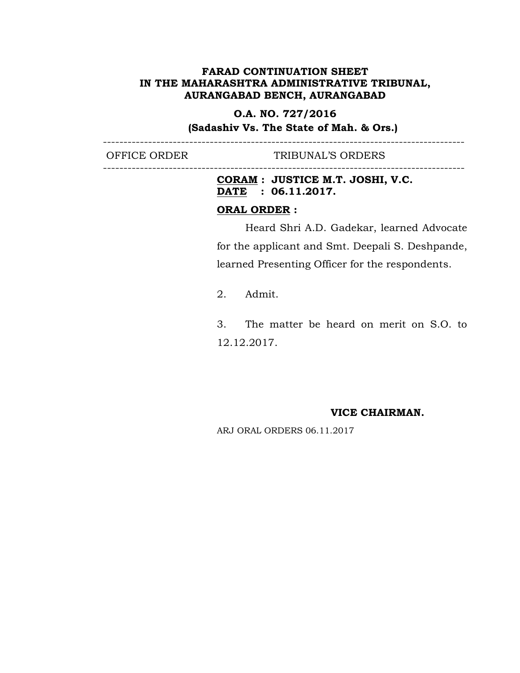# **O.A. NO. 727/2016**

----------------------------------------------------------------------------------------

----------------------------------------------------------------------------------------

**(Sadashiv Vs. The State of Mah. & Ors.)**

OFFICE ORDER TRIBUNAL'S ORDERS

**CORAM : JUSTICE M.T. JOSHI, V.C. DATE : 06.11.2017.**

# **ORAL ORDER :**

Heard Shri A.D. Gadekar, learned Advocate for the applicant and Smt. Deepali S. Deshpande, learned Presenting Officer for the respondents.

2. Admit.

3. The matter be heard on merit on S.O. to 12.12.2017.

#### **VICE CHAIRMAN.**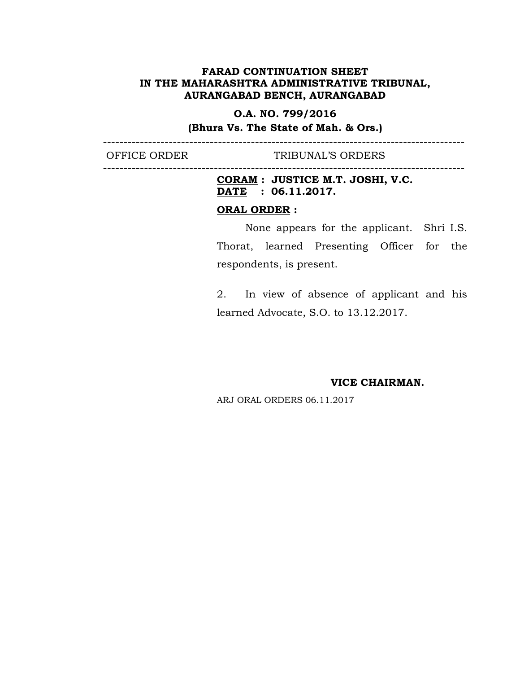# **O.A. NO. 799/2016**

**(Bhura Vs. The State of Mah. & Ors.)** ----------------------------------------------------------------------------------------

----------------------------------------------------------------------------------------

OFFICE ORDER TRIBUNAL'S ORDERS

**CORAM : JUSTICE M.T. JOSHI, V.C. DATE : 06.11.2017.**

# **ORAL ORDER :**

None appears for the applicant. Shri I.S. Thorat, learned Presenting Officer for the respondents, is present.

2. In view of absence of applicant and his learned Advocate, S.O. to 13.12.2017.

**VICE CHAIRMAN.**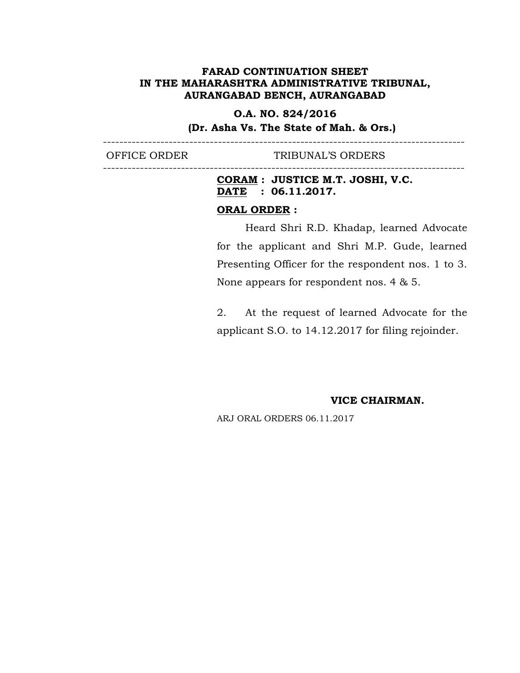# **O.A. NO. 824/2016**

----------------------------------------------------------------------------------------

----------------------------------------------------------------------------------------

**(Dr. Asha Vs. The State of Mah. & Ors.)**

OFFICE ORDER TRIBUNAL'S ORDERS

# **CORAM : JUSTICE M.T. JOSHI, V.C. DATE : 06.11.2017.**

# **ORAL ORDER :**

Heard Shri R.D. Khadap, learned Advocate for the applicant and Shri M.P. Gude, learned Presenting Officer for the respondent nos. 1 to 3. None appears for respondent nos. 4 & 5.

2. At the request of learned Advocate for the applicant S.O. to 14.12.2017 for filing rejoinder.

#### **VICE CHAIRMAN.**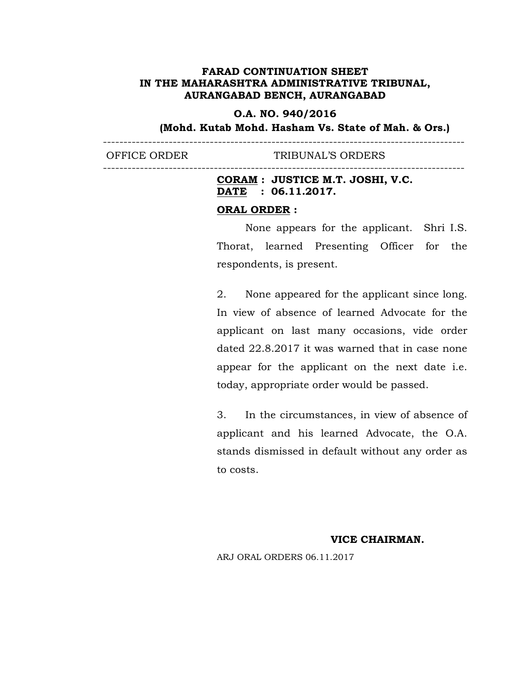# **O.A. NO. 940/2016**

----------------------------------------------------------------------------------------

----------------------------------------------------------------------------------------

**(Mohd. Kutab Mohd. Hasham Vs. State of Mah. & Ors.)**

OFFICE ORDER TRIBUNAL'S ORDERS

# **CORAM : JUSTICE M.T. JOSHI, V.C. DATE : 06.11.2017.**

#### **ORAL ORDER :**

None appears for the applicant. Shri I.S. Thorat, learned Presenting Officer for the respondents, is present.

2. None appeared for the applicant since long. In view of absence of learned Advocate for the applicant on last many occasions, vide order dated 22.8.2017 it was warned that in case none appear for the applicant on the next date i.e. today, appropriate order would be passed.

3. In the circumstances, in view of absence of applicant and his learned Advocate, the O.A. stands dismissed in default without any order as to costs.

# **VICE CHAIRMAN.**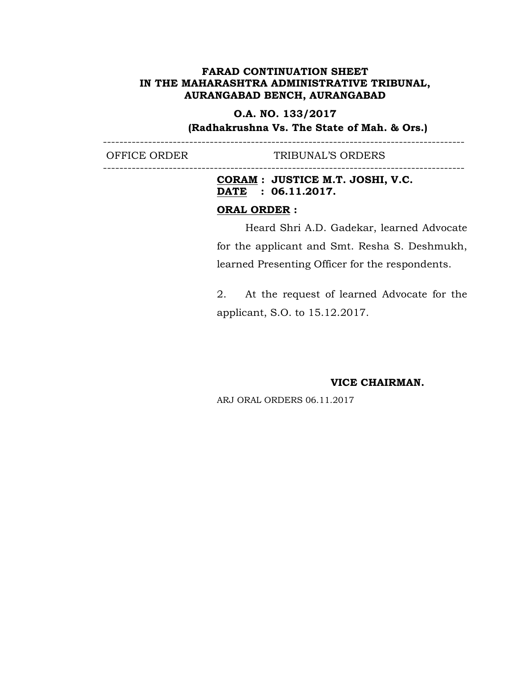# **O.A. NO. 133/2017**

----------------------------------------------------------------------------------------

----------------------------------------------------------------------------------------

**(Radhakrushna Vs. The State of Mah. & Ors.)**

OFFICE ORDER TRIBUNAL'S ORDERS

**CORAM : JUSTICE M.T. JOSHI, V.C. DATE : 06.11.2017.**

# **ORAL ORDER :**

Heard Shri A.D. Gadekar, learned Advocate for the applicant and Smt. Resha S. Deshmukh, learned Presenting Officer for the respondents.

2. At the request of learned Advocate for the applicant, S.O. to 15.12.2017.

**VICE CHAIRMAN.**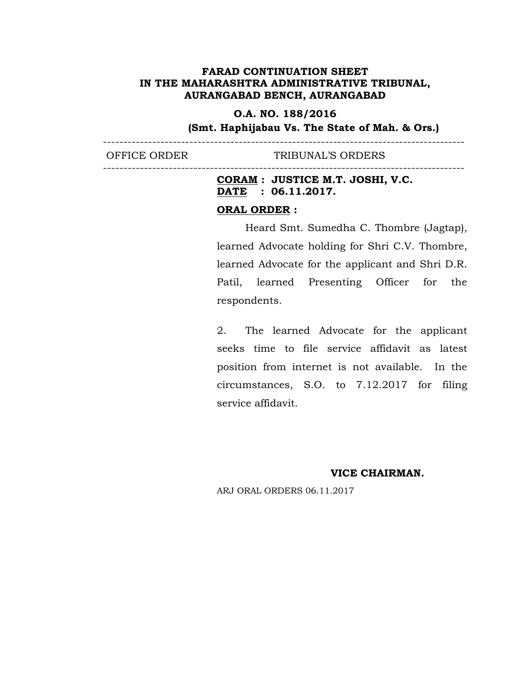# **O.A. NO. 188/2016**

----------------------------------------------------------------------------------------

----------------------------------------------------------------------------------------

**(Smt. Haphijabau Vs. The State of Mah. & Ors.)**

OFFICE ORDER TRIBUNAL'S ORDERS

**CORAM : JUSTICE M.T. JOSHI, V.C. DATE : 06.11.2017.**

### **ORAL ORDER :**

Heard Smt. Sumedha C. Thombre (Jagtap), learned Advocate holding for Shri C.V. Thombre, learned Advocate for the applicant and Shri D.R. Patil, learned Presenting Officer for the respondents.

2. The learned Advocate for the applicant seeks time to file service affidavit as latest position from internet is not available. In the circumstances, S.O. to 7.12.2017 for filing service affidavit.

**VICE CHAIRMAN.**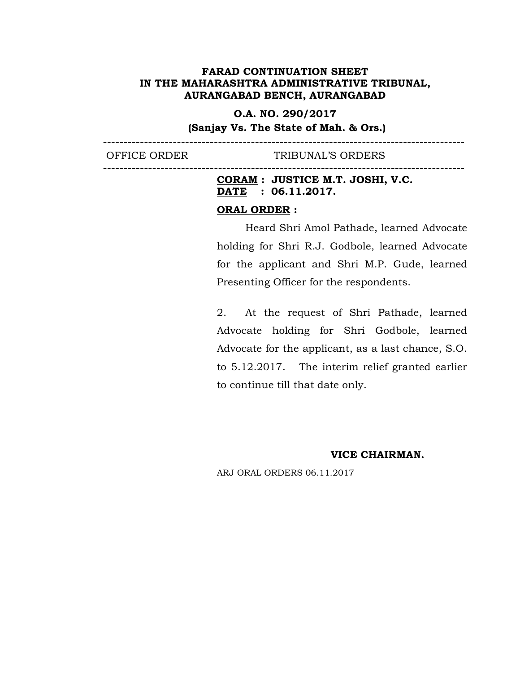**O.A. NO. 290/2017**

**(Sanjay Vs. The State of Mah. & Ors.)** ----------------------------------------------------------------------------------------

----------------------------------------------------------------------------------------

OFFICE ORDER TRIBUNAL'S ORDERS

**CORAM : JUSTICE M.T. JOSHI, V.C. DATE : 06.11.2017.**

### **ORAL ORDER :**

Heard Shri Amol Pathade, learned Advocate holding for Shri R.J. Godbole, learned Advocate for the applicant and Shri M.P. Gude, learned Presenting Officer for the respondents.

2. At the request of Shri Pathade, learned Advocate holding for Shri Godbole, learned Advocate for the applicant, as a last chance, S.O. to 5.12.2017. The interim relief granted earlier to continue till that date only.

**VICE CHAIRMAN.**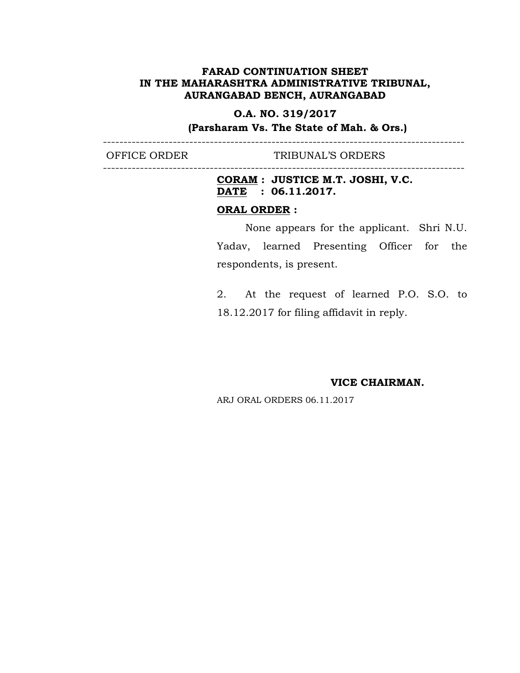# **O.A. NO. 319/2017**

----------------------------------------------------------------------------------------

----------------------------------------------------------------------------------------

**(Parsharam Vs. The State of Mah. & Ors.)**

OFFICE ORDER TRIBUNAL'S ORDERS

**CORAM : JUSTICE M.T. JOSHI, V.C. DATE : 06.11.2017.**

# **ORAL ORDER :**

None appears for the applicant. Shri N.U. Yadav, learned Presenting Officer for the respondents, is present.

2. At the request of learned P.O. S.O. to 18.12.2017 for filing affidavit in reply.

**VICE CHAIRMAN.**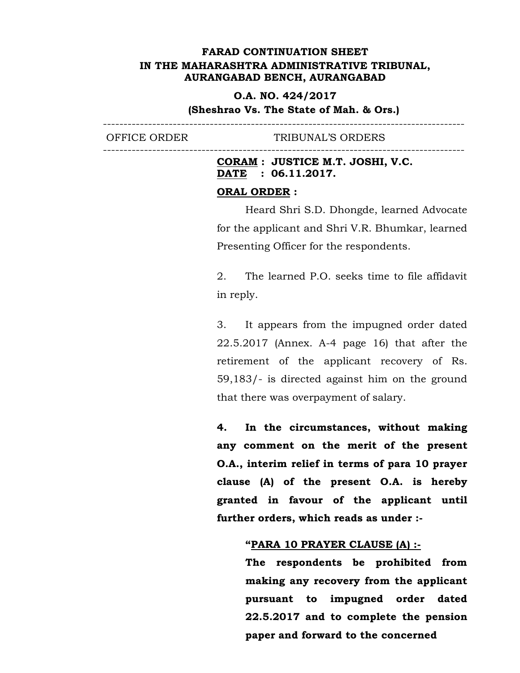# **O.A. NO. 424/2017**

----------------------------------------------------------------------------------------

# **(Sheshrao Vs. The State of Mah. & Ors.)**

OFFICE ORDER TRIBUNAL'S ORDERS

# **CORAM : JUSTICE M.T. JOSHI, V.C. DATE : 06.11.2017.**

# **ORAL ORDER :**

----------------------------------------------------------------------------------------

Heard Shri S.D. Dhongde, learned Advocate for the applicant and Shri V.R. Bhumkar, learned Presenting Officer for the respondents.

2. The learned P.O. seeks time to file affidavit in reply.

3. It appears from the impugned order dated 22.5.2017 (Annex. A-4 page 16) that after the retirement of the applicant recovery of Rs. 59,183/- is directed against him on the ground that there was overpayment of salary.

**4. In the circumstances, without making any comment on the merit of the present O.A., interim relief in terms of para 10 prayer clause (A) of the present O.A. is hereby granted in favour of the applicant until further orders, which reads as under :-**

#### **"PARA 10 PRAYER CLAUSE (A) :-**

**The respondents be prohibited from making any recovery from the applicant pursuant to impugned order dated 22.5.2017 and to complete the pension paper and forward to the concerned**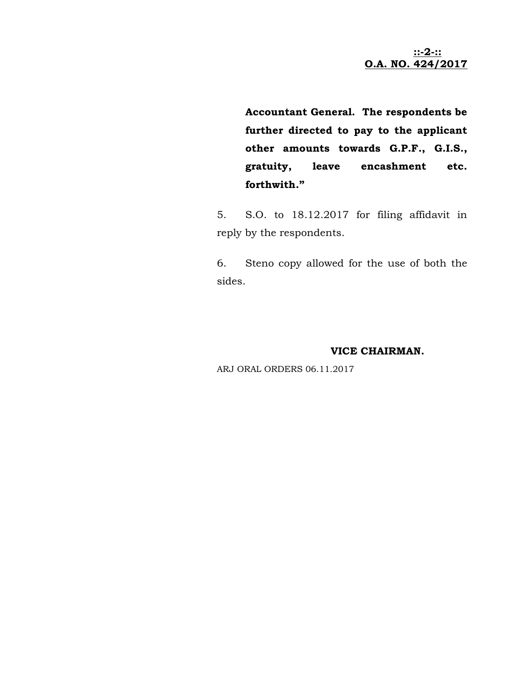**::-2-:: O.A. NO. 424/2017**

**Accountant General. The respondents be further directed to pay to the applicant other amounts towards G.P.F., G.I.S., gratuity, leave encashment etc. forthwith."**

5. S.O. to 18.12.2017 for filing affidavit in reply by the respondents.

6. Steno copy allowed for the use of both the sides.

# **VICE CHAIRMAN.**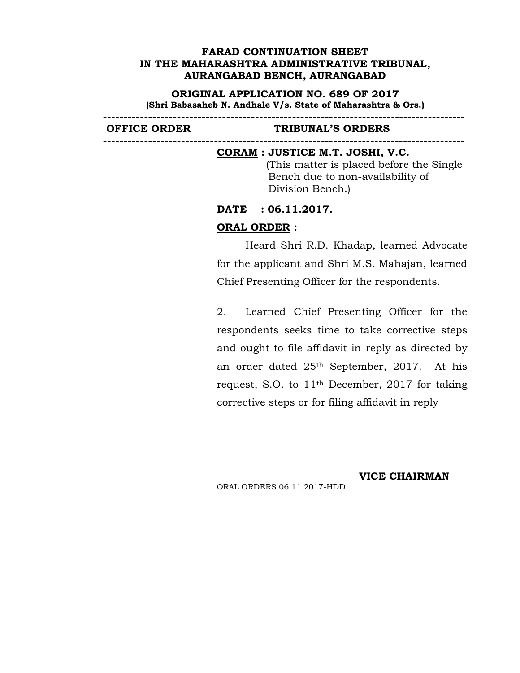**ORIGINAL APPLICATION NO. 689 OF 2017 (Shri Babasaheb N. Andhale V/s. State of Maharashtra & Ors.)**

----------------------------------------------------------------------------------------

----------------------------------------------------------------------------------------

#### **OFFICE ORDER TRIBUNAL'S ORDERS**

#### **CORAM : JUSTICE M.T. JOSHI, V.C.**

(This matter is placed before the Single Bench due to non-availability of Division Bench.)

**DATE : 06.11.2017.**

### **ORAL ORDER :**

Heard Shri R.D. Khadap, learned Advocate for the applicant and Shri M.S. Mahajan, learned Chief Presenting Officer for the respondents.

2. Learned Chief Presenting Officer for the respondents seeks time to take corrective steps and ought to file affidavit in reply as directed by an order dated 25th September, 2017. At his request, S.O. to 11th December, 2017 for taking corrective steps or for filing affidavit in reply

**VICE CHAIRMAN**

ORAL ORDERS 06.11.2017-HDD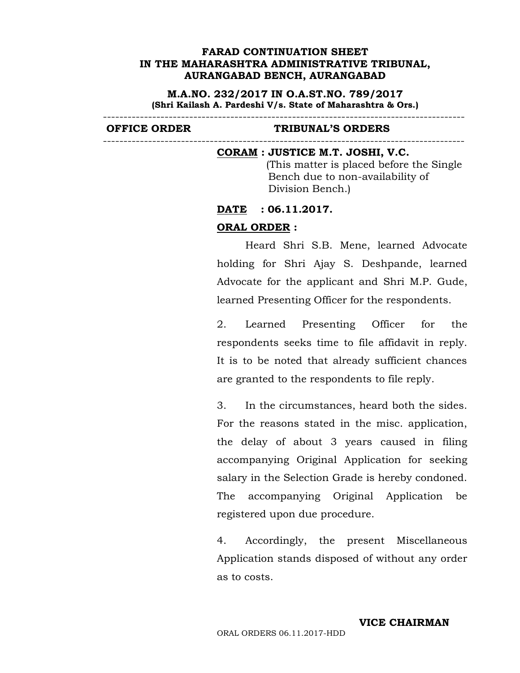**M.A.NO. 232/2017 IN O.A.ST.NO. 789/2017 (Shri Kailash A. Pardeshi V/s. State of Maharashtra & Ors.)**

----------------------------------------------------------------------------------------

#### **OFFICE ORDER TRIBUNAL'S ORDERS**

#### **CORAM : JUSTICE M.T. JOSHI, V.C.**

(This matter is placed before the Single Bench due to non-availability of Division Bench.)

----------------------------------------------------------------------------------------

#### **DATE : 06.11.2017.**

#### **ORAL ORDER :**

Heard Shri S.B. Mene, learned Advocate holding for Shri Ajay S. Deshpande, learned Advocate for the applicant and Shri M.P. Gude, learned Presenting Officer for the respondents.

2. Learned Presenting Officer for the respondents seeks time to file affidavit in reply. It is to be noted that already sufficient chances are granted to the respondents to file reply.

3. In the circumstances, heard both the sides. For the reasons stated in the misc. application, the delay of about 3 years caused in filing accompanying Original Application for seeking salary in the Selection Grade is hereby condoned. The accompanying Original Application be registered upon due procedure.

4. Accordingly, the present Miscellaneous Application stands disposed of without any order as to costs.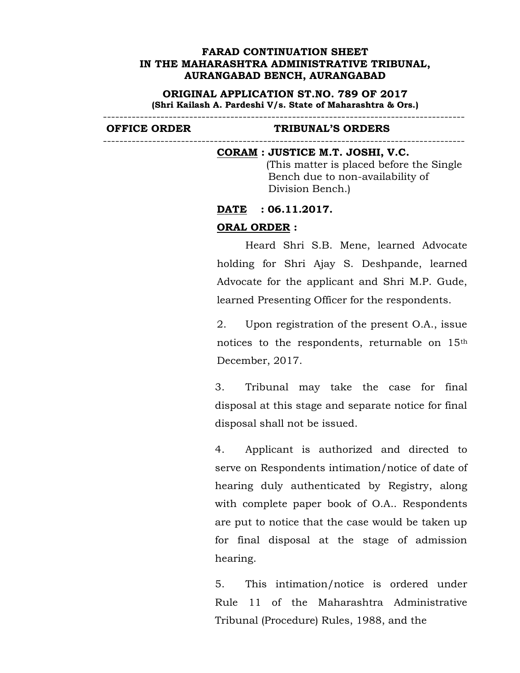**ORIGINAL APPLICATION ST.NO. 789 OF 2017 (Shri Kailash A. Pardeshi V/s. State of Maharashtra & Ors.)**

#### **OFFICE ORDER TRIBUNAL'S ORDERS**

#### **CORAM : JUSTICE M.T. JOSHI, V.C.**

----------------------------------------------------------------------------------------

(This matter is placed before the Single Bench due to non-availability of Division Bench.)

----------------------------------------------------------------------------------------

#### **DATE : 06.11.2017.**

# **ORAL ORDER :**

Heard Shri S.B. Mene, learned Advocate holding for Shri Ajay S. Deshpande, learned Advocate for the applicant and Shri M.P. Gude, learned Presenting Officer for the respondents.

2. Upon registration of the present O.A., issue notices to the respondents, returnable on 15th December, 2017.

3. Tribunal may take the case for final disposal at this stage and separate notice for final disposal shall not be issued.

4. Applicant is authorized and directed to serve on Respondents intimation/notice of date of hearing duly authenticated by Registry, along with complete paper book of O.A.. Respondents are put to notice that the case would be taken up for final disposal at the stage of admission hearing.

5. This intimation/notice is ordered under Rule 11 of the Maharashtra Administrative Tribunal (Procedure) Rules, 1988, and the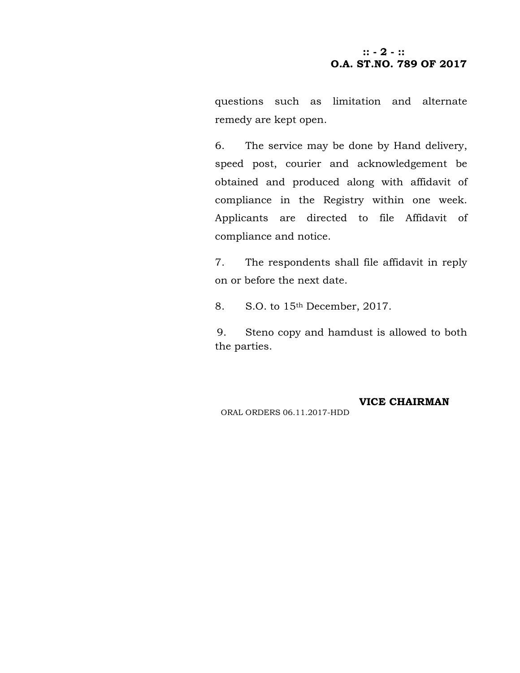# **:: - 2 - :: O.A. ST.NO. 789 OF 2017**

questions such as limitation and alternate remedy are kept open.

6. The service may be done by Hand delivery, speed post, courier and acknowledgement be obtained and produced along with affidavit of compliance in the Registry within one week. Applicants are directed to file Affidavit of compliance and notice.

7. The respondents shall file affidavit in reply on or before the next date.

8. S.O. to 15<sup>th</sup> December, 2017.

9. Steno copy and hamdust is allowed to both the parties.

**VICE CHAIRMAN**

ORAL ORDERS 06.11.2017-HDD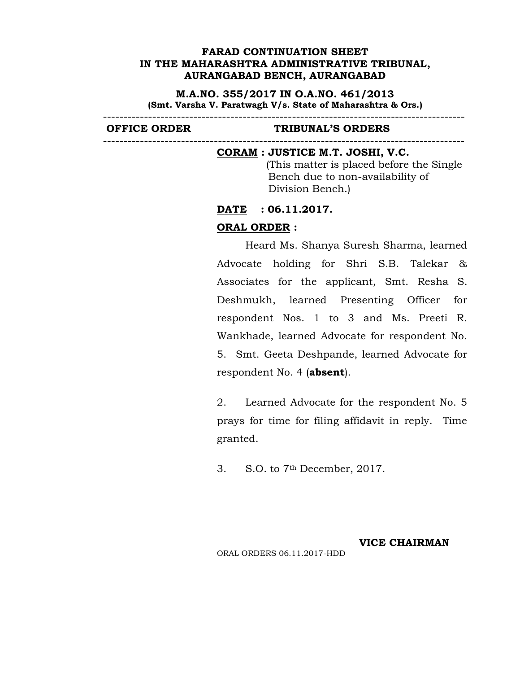**M.A.NO. 355/2017 IN O.A.NO. 461/2013 (Smt. Varsha V. Paratwagh V/s. State of Maharashtra & Ors.)**

----------------------------------------------------------------------------------------

----------------------------------------------------------------------------------------

#### **OFFICE ORDER TRIBUNAL'S ORDERS**

#### **CORAM : JUSTICE M.T. JOSHI, V.C.**

(This matter is placed before the Single Bench due to non-availability of Division Bench.)

#### **DATE : 06.11.2017.**

# **ORAL ORDER :**

Heard Ms. Shanya Suresh Sharma, learned Advocate holding for Shri S.B. Talekar & Associates for the applicant, Smt. Resha S. Deshmukh, learned Presenting Officer for respondent Nos. 1 to 3 and Ms. Preeti R. Wankhade, learned Advocate for respondent No. 5. Smt. Geeta Deshpande, learned Advocate for respondent No. 4 (**absent**).

2. Learned Advocate for the respondent No. 5 prays for time for filing affidavit in reply. Time granted.

3. S.O. to 7th December, 2017.

# **VICE CHAIRMAN**

ORAL ORDERS 06.11.2017-HDD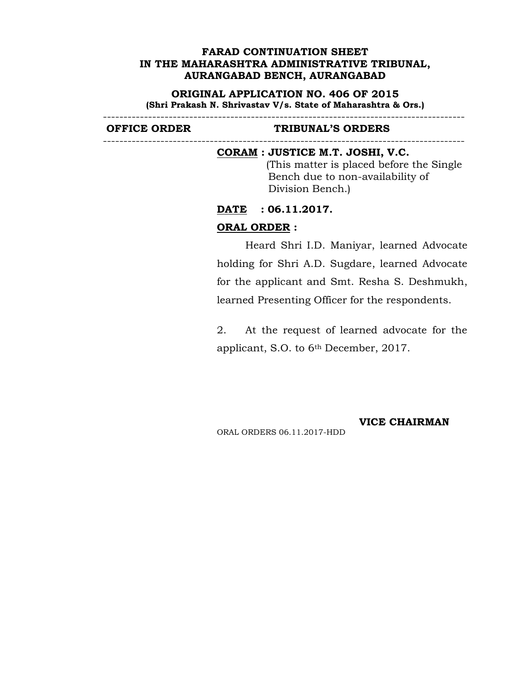#### **ORIGINAL APPLICATION NO. 406 OF 2015**

**(Shri Prakash N. Shrivastav V/s. State of Maharashtra & Ors.)** ----------------------------------------------------------------------------------------

----------------------------------------------------------------------------------------

#### **OFFICE ORDER TRIBUNAL'S ORDERS**

#### **CORAM : JUSTICE M.T. JOSHI, V.C.**

(This matter is placed before the Single Bench due to non-availability of Division Bench.)

# **DATE : 06.11.2017.**

### **ORAL ORDER :**

Heard Shri I.D. Maniyar, learned Advocate holding for Shri A.D. Sugdare, learned Advocate for the applicant and Smt. Resha S. Deshmukh, learned Presenting Officer for the respondents.

2. At the request of learned advocate for the applicant, S.O. to 6th December, 2017.

ORAL ORDERS 06.11.2017-HDD

**VICE CHAIRMAN**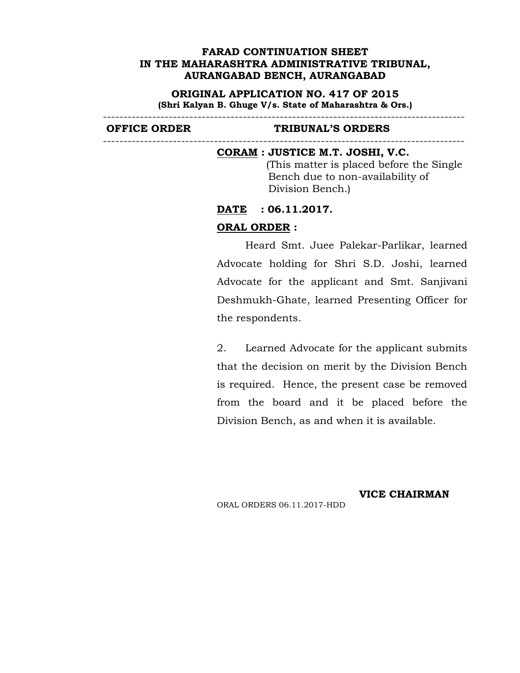**ORIGINAL APPLICATION NO. 417 OF 2015 (Shri Kalyan B. Ghuge V/s. State of Maharashtra & Ors.)**

----------------------------------------------------------------------------------------

----------------------------------------------------------------------------------------

### **OFFICE ORDER TRIBUNAL'S ORDERS**

#### **CORAM : JUSTICE M.T. JOSHI, V.C.**

(This matter is placed before the Single Bench due to non-availability of Division Bench.)

#### **DATE : 06.11.2017.**

### **ORAL ORDER :**

Heard Smt. Juee Palekar-Parlikar, learned Advocate holding for Shri S.D. Joshi, learned Advocate for the applicant and Smt. Sanjivani Deshmukh-Ghate, learned Presenting Officer for the respondents.

2. Learned Advocate for the applicant submits that the decision on merit by the Division Bench is required. Hence, the present case be removed from the board and it be placed before the Division Bench, as and when it is available.

**VICE CHAIRMAN**

ORAL ORDERS 06.11.2017-HDD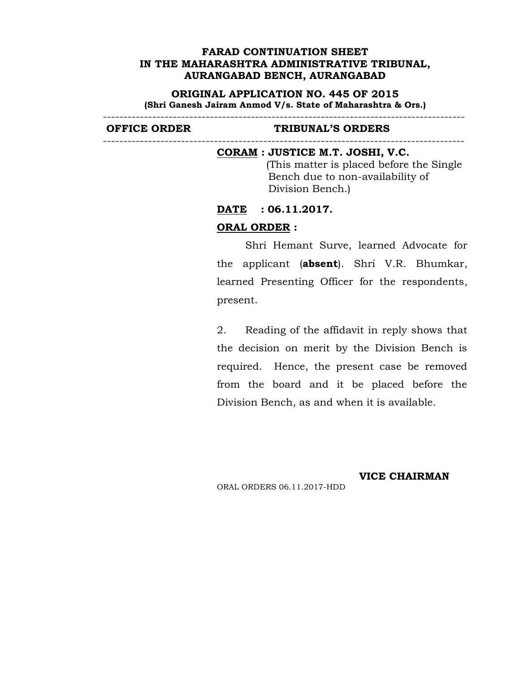#### **ORIGINAL APPLICATION NO. 445 OF 2015**

**(Shri Ganesh Jairam Anmod V/s. State of Maharashtra & Ors.)** ----------------------------------------------------------------------------------------

----------------------------------------------------------------------------------------

#### **OFFICE ORDER TRIBUNAL'S ORDERS**

#### **CORAM : JUSTICE M.T. JOSHI, V.C.**

(This matter is placed before the Single Bench due to non-availability of Division Bench.)

# **DATE : 06.11.2017.**

### **ORAL ORDER :**

Shri Hemant Surve, learned Advocate for the applicant (**absent**). Shri V.R. Bhumkar, learned Presenting Officer for the respondents, present.

2. Reading of the affidavit in reply shows that the decision on merit by the Division Bench is required. Hence, the present case be removed from the board and it be placed before the Division Bench, as and when it is available.

ORAL ORDERS 06.11.2017-HDD

**VICE CHAIRMAN**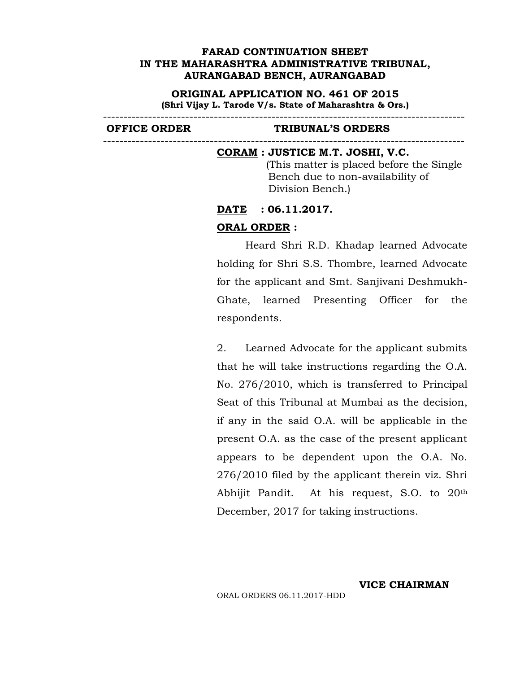**ORIGINAL APPLICATION NO. 461 OF 2015**

**(Shri Vijay L. Tarode V/s. State of Maharashtra & Ors.)** ----------------------------------------------------------------------------------------

----------------------------------------------------------------------------------------

#### **OFFICE ORDER TRIBUNAL'S ORDERS**

#### **CORAM : JUSTICE M.T. JOSHI, V.C.**

(This matter is placed before the Single Bench due to non-availability of Division Bench.)

# **DATE : 06.11.2017.**

# **ORAL ORDER :**

Heard Shri R.D. Khadap learned Advocate holding for Shri S.S. Thombre, learned Advocate for the applicant and Smt. Sanjivani Deshmukh- Ghate, learned Presenting Officer for the respondents.

2. Learned Advocate for the applicant submits that he will take instructions regarding the O.A. No. 276/2010, which is transferred to Principal Seat of this Tribunal at Mumbai as the decision, if any in the said O.A. will be applicable in the present O.A. as the case of the present applicant appears to be dependent upon the O.A. No. 276/2010 filed by the applicant therein viz. Shri Abhijit Pandit. At his request, S.O. to 20th December, 2017 for taking instructions.

**VICE CHAIRMAN**

ORAL ORDERS 06.11.2017-HDD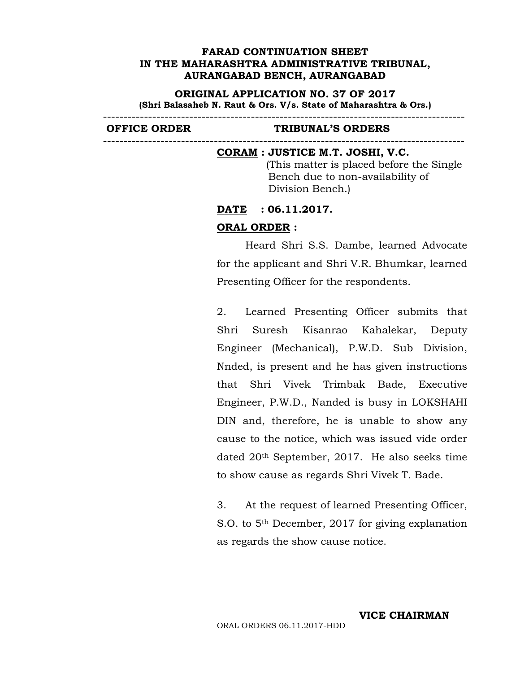**ORIGINAL APPLICATION NO. 37 OF 2017 (Shri Balasaheb N. Raut & Ors. V/s. State of Maharashtra & Ors.)** ----------------------------------------------------------------------------------------

----------------------------------------------------------------------------------------

#### **OFFICE ORDER TRIBUNAL'S ORDERS**

#### **CORAM : JUSTICE M.T. JOSHI, V.C.**

(This matter is placed before the Single Bench due to non-availability of Division Bench.)

# **DATE : 06.11.2017.**

# **ORAL ORDER :**

Heard Shri S.S. Dambe, learned Advocate for the applicant and Shri V.R. Bhumkar, learned Presenting Officer for the respondents.

2. Learned Presenting Officer submits that Shri Suresh Kisanrao Kahalekar, Deputy Engineer (Mechanical), P.W.D. Sub Division, Nnded, is present and he has given instructions that Shri Vivek Trimbak Bade, Executive Engineer, P.W.D., Nanded is busy in LOKSHAHI DIN and, therefore, he is unable to show any cause to the notice, which was issued vide order dated 20th September, 2017. He also seeks time to show cause as regards Shri Vivek T. Bade.

3. At the request of learned Presenting Officer, S.O. to 5th December, 2017 for giving explanation as regards the show cause notice.

**VICE CHAIRMAN**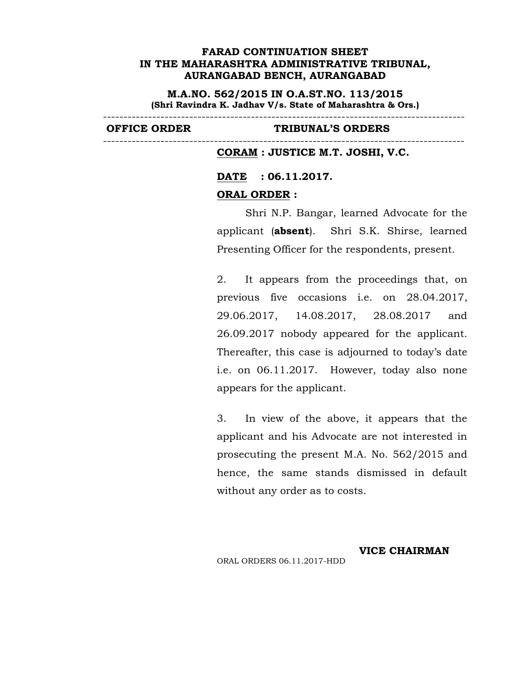**M.A.NO. 562/2015 IN O.A.ST.NO. 113/2015 (Shri Ravindra K. Jadhav V/s. State of Maharashtra & Ors.)**

----------------------------------------------------------------------------------------

----------------------------------------------------------------------------------------

#### **OFFICE ORDER TRIBUNAL'S ORDERS**

#### **CORAM : JUSTICE M.T. JOSHI, V.C.**

# **DATE : 06.11.2017.**

#### **ORAL ORDER :**

Shri N.P. Bangar, learned Advocate for the applicant (**absent**). Shri S.K. Shirse, learned Presenting Officer for the respondents, present.

2. It appears from the proceedings that, on previous five occasions i.e. on 28.04.2017, 29.06.2017, 14.08.2017, 28.08.2017 and 26.09.2017 nobody appeared for the applicant. Thereafter, this case is adjourned to today's date i.e. on 06.11.2017. However, today also none appears for the applicant.

3. In view of the above, it appears that the applicant and his Advocate are not interested in prosecuting the present M.A. No. 562/2015 and hence, the same stands dismissed in default without any order as to costs.

# ORAL ORDERS 06.11.2017-HDD

#### **VICE CHAIRMAN**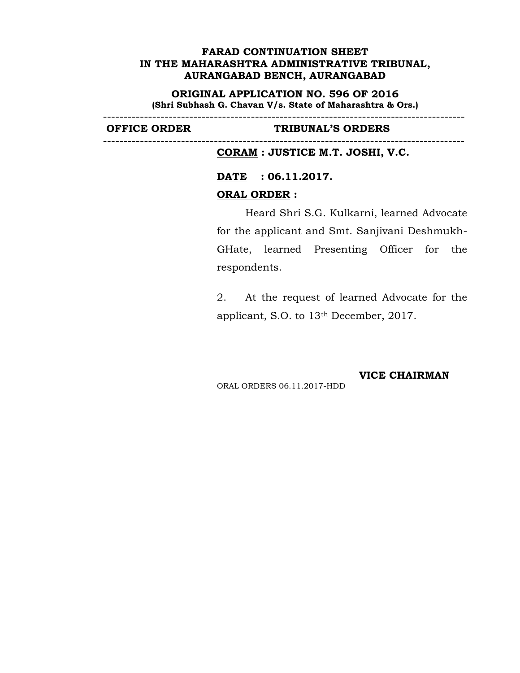**ORIGINAL APPLICATION NO. 596 OF 2016 (Shri Subhash G. Chavan V/s. State of Maharashtra & Ors.)**

----------------------------------------------------------------------------------------

----------------------------------------------------------------------------------------

#### **OFFICE ORDER TRIBUNAL'S ORDERS**

**CORAM : JUSTICE M.T. JOSHI, V.C.**

**DATE : 06.11.2017.**

#### **ORAL ORDER :**

Heard Shri S.G. Kulkarni, learned Advocate for the applicant and Smt. Sanjivani Deshmukh- GHate, learned Presenting Officer for the respondents.

2. At the request of learned Advocate for the applicant, S.O. to 13th December, 2017.

**VICE CHAIRMAN**

ORAL ORDERS 06.11.2017-HDD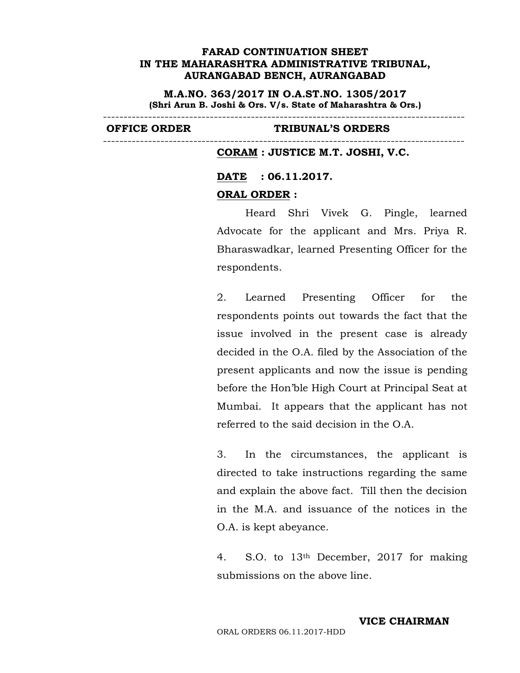**M.A.NO. 363/2017 IN O.A.ST.NO. 1305/2017 (Shri Arun B. Joshi & Ors. V/s. State of Maharashtra & Ors.)**

----------------------------------------------------------------------------------------

#### **OFFICE ORDER TRIBUNAL'S ORDERS**

#### **CORAM : JUSTICE M.T. JOSHI, V.C.**

#### **DATE : 06.11.2017.**

#### **ORAL ORDER :**

----------------------------------------------------------------------------------------

Heard Shri Vivek G. Pingle, learned Advocate for the applicant and Mrs. Priya R. Bharaswadkar, learned Presenting Officer for the respondents.

2. Learned Presenting Officer for the respondents points out towards the fact that the issue involved in the present case is already decided in the O.A. filed by the Association of the present applicants and now the issue is pending before the Hon'ble High Court at Principal Seat at Mumbai. It appears that the applicant has not referred to the said decision in the O.A.

3. In the circumstances, the applicant is directed to take instructions regarding the same and explain the above fact. Till then the decision in the M.A. and issuance of the notices in the O.A. is kept abeyance.

4. S.O. to 13th December, 2017 for making submissions on the above line.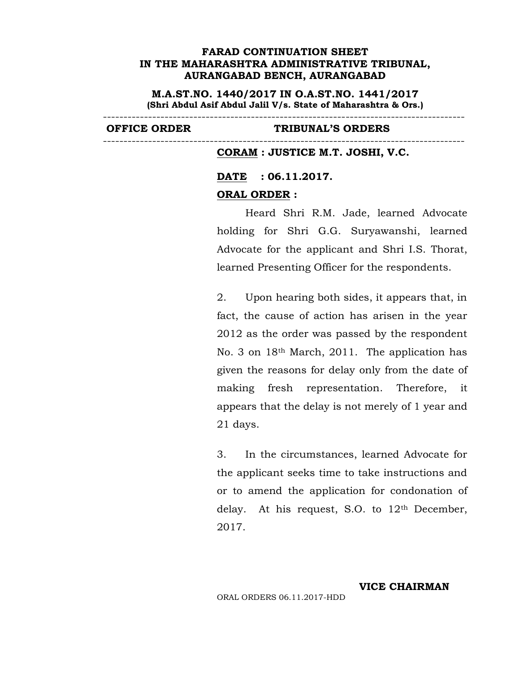**M.A.ST.NO. 1440/2017 IN O.A.ST.NO. 1441/2017 (Shri Abdul Asif Abdul Jalil V/s. State of Maharashtra & Ors.)**

----------------------------------------------------------------------------------------

#### **OFFICE ORDER TRIBUNAL'S ORDERS**

**CORAM : JUSTICE M.T. JOSHI, V.C.**

# **DATE : 06.11.2017.**

#### **ORAL ORDER :**

----------------------------------------------------------------------------------------

Heard Shri R.M. Jade, learned Advocate holding for Shri G.G. Suryawanshi, learned Advocate for the applicant and Shri I.S. Thorat, learned Presenting Officer for the respondents.

2. Upon hearing both sides, it appears that, in fact, the cause of action has arisen in the year 2012 as the order was passed by the respondent No. 3 on 18th March, 2011. The application has given the reasons for delay only from the date of making fresh representation. Therefore, it appears that the delay is not merely of 1 year and 21 days.

3. In the circumstances, learned Advocate for the applicant seeks time to take instructions and or to amend the application for condonation of delay. At his request, S.O. to 12th December, 2017.

**VICE CHAIRMAN**

ORAL ORDERS 06.11.2017-HDD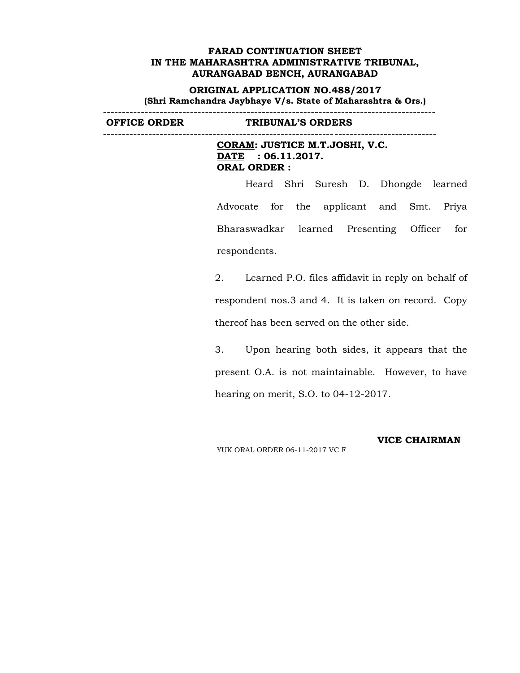**ORIGINAL APPLICATION NO.488/2017 (Shri Ramchandra Jaybhaye V/s. State of Maharashtra & Ors.)** ----------------------------------------------------------------------------------------

**OFFICE ORDER TRIBUNAL'S ORDERS**

----------------------------------------------------------------------------------------

**CORAM: JUSTICE M.T.JOSHI, V.C. DATE : 06.11.2017. ORAL ORDER :**

Heard Shri Suresh D. Dhongde learned Advocate for the applicant and Smt. Priya Bharaswadkar learned Presenting Officer for respondents.

2. Learned P.O. files affidavit in reply on behalf of respondent nos.3 and 4. It is taken on record. Copy thereof has been served on the other side.

3. Upon hearing both sides, it appears that the present O.A. is not maintainable. However, to have hearing on merit, S.O. to 04-12-2017.

YUK ORAL ORDER 06-11-2017 VC F

#### **VICE CHAIRMAN**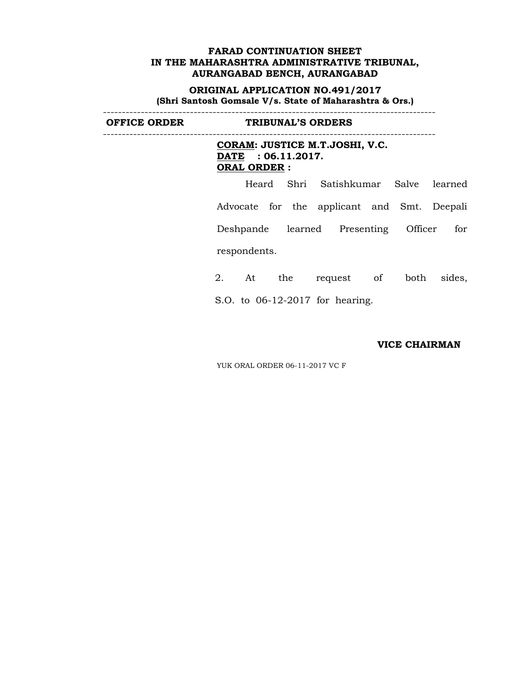**ORIGINAL APPLICATION NO.491/2017 (Shri Santosh Gomsale V/s. State of Maharashtra & Ors.)**

----------------------------------------------------------------------------------------

**OFFICE ORDER TRIBUNAL'S ORDERS**

----------------------------------------------------------------------------------------

**CORAM: JUSTICE M.T.JOSHI, V.C. DATE : 06.11.2017. ORAL ORDER :**

Heard Shri Satishkumar Salve learned Advocate for the applicant and Smt. Deepali Deshpande learned Presenting Officer for respondents.

2. At the request of both sides, S.O. to 06-12-2017 for hearing.

#### **VICE CHAIRMAN**

YUK ORAL ORDER 06-11-2017 VC F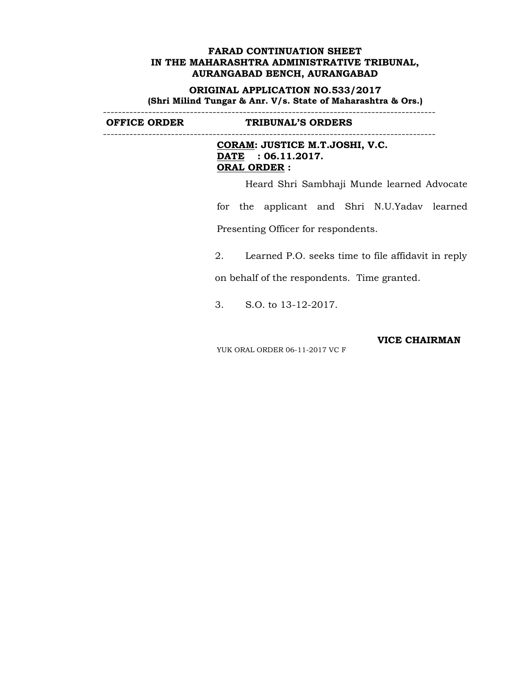**ORIGINAL APPLICATION NO.533/2017 (Shri Milind Tungar & Anr. V/s. State of Maharashtra & Ors.)** ----------------------------------------------------------------------------------------

**OFFICE ORDER TRIBUNAL'S ORDERS**

----------------------------------------------------------------------------------------

**CORAM: JUSTICE M.T.JOSHI, V.C. DATE : 06.11.2017. ORAL ORDER :**

Heard Shri Sambhaji Munde learned Advocate

for the applicant and Shri N.U.Yadav learned Presenting Officer for respondents.

2. Learned P.O. seeks time to file affidavit in reply

on behalf of the respondents. Time granted.

3. S.O. to 13-12-2017.

YUK ORAL ORDER 06-11-2017 VC F

**VICE CHAIRMAN**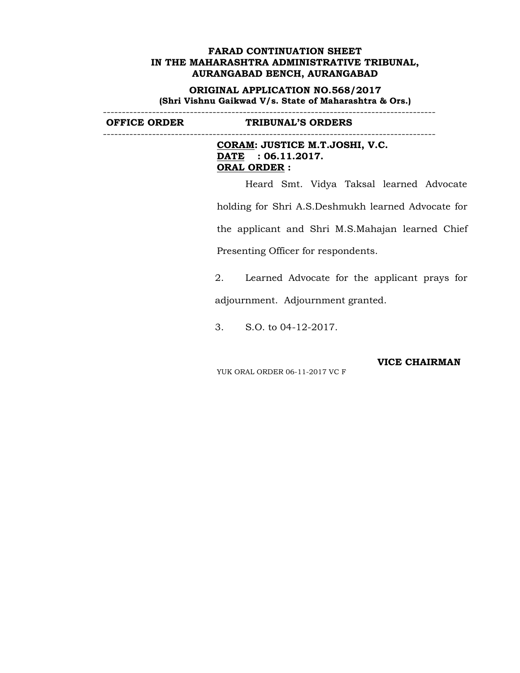**ORIGINAL APPLICATION NO.568/2017 (Shri Vishnu Gaikwad V/s. State of Maharashtra & Ors.)** ----------------------------------------------------------------------------------------

**OFFICE ORDER TRIBUNAL'S ORDERS**

----------------------------------------------------------------------------------------

**CORAM: JUSTICE M.T.JOSHI, V.C. DATE : 06.11.2017. ORAL ORDER :**

Heard Smt. Vidya Taksal learned Advocate holding for Shri A.S.Deshmukh learned Advocate for the applicant and Shri M.S.Mahajan learned Chief Presenting Officer for respondents.

2. Learned Advocate for the applicant prays for adjournment. Adjournment granted.

3. S.O. to 04-12-2017.

**VICE CHAIRMAN**

YUK ORAL ORDER 06-11-2017 VC F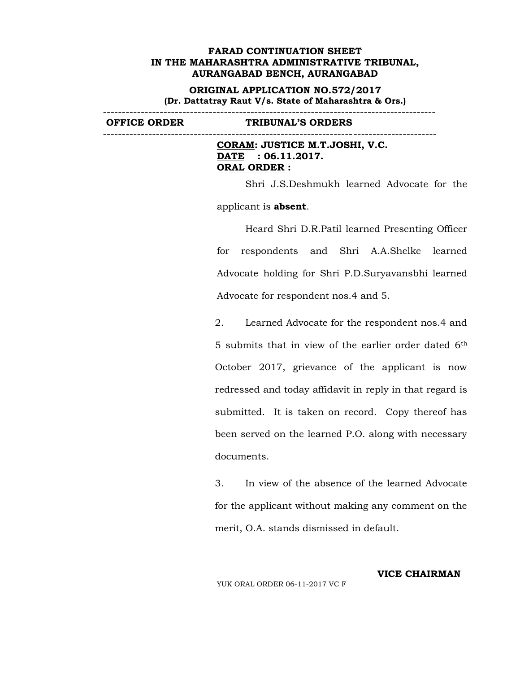**ORIGINAL APPLICATION NO.572/2017 (Dr. Dattatray Raut V/s. State of Maharashtra & Ors.)**

**OFFICE ORDER TRIBUNAL'S ORDERS**

----------------------------------------------------------------------------------------

**CORAM: JUSTICE M.T.JOSHI, V.C. DATE : 06.11.2017. ORAL ORDER :**

Shri J.S.Deshmukh learned Advocate for the

----------------------------------------------------------------------------------------

applicant is **absent**.

Heard Shri D.R.Patil learned Presenting Officer for respondents and Shri A.A.Shelke learned Advocate holding for Shri P.D.Suryavansbhi learned Advocate for respondent nos.4 and 5.

2. Learned Advocate for the respondent nos.4 and 5 submits that in view of the earlier order dated 6th October 2017, grievance of the applicant is now redressed and today affidavit in reply in that regard is submitted. It is taken on record. Copy thereof has been served on the learned P.O. along with necessary documents.

3. In view of the absence of the learned Advocate for the applicant without making any comment on the merit, O.A. stands dismissed in default.

YUK ORAL ORDER 06-11-2017 VC F

**VICE CHAIRMAN**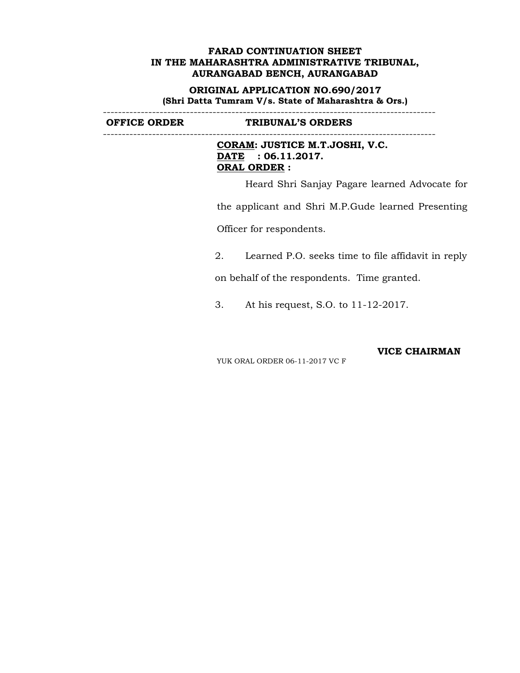**ORIGINAL APPLICATION NO.690/2017 (Shri Datta Tumram V/s. State of Maharashtra & Ors.)** ----------------------------------------------------------------------------------------

**OFFICE ORDER TRIBUNAL'S ORDERS**

----------------------------------------------------------------------------------------

**CORAM: JUSTICE M.T.JOSHI, V.C. DATE : 06.11.2017. ORAL ORDER :**

Heard Shri Sanjay Pagare learned Advocate for

the applicant and Shri M.P.Gude learned Presenting

Officer for respondents.

2. Learned P.O. seeks time to file affidavit in reply

on behalf of the respondents. Time granted.

3. At his request, S.O. to 11-12-2017.

**VICE CHAIRMAN**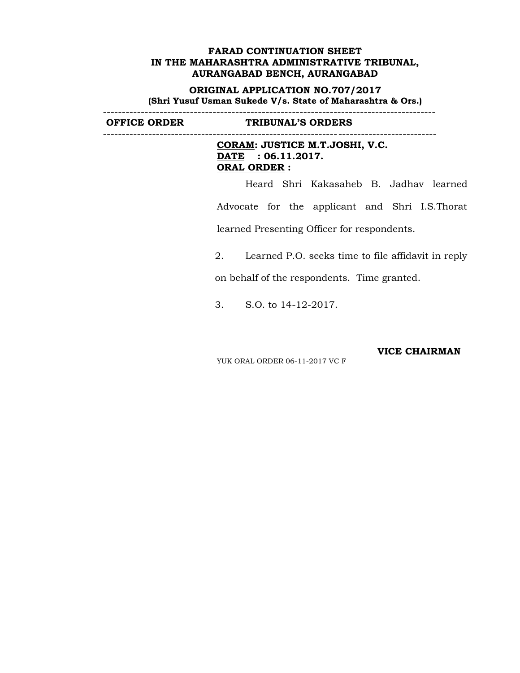**ORIGINAL APPLICATION NO.707/2017 (Shri Yusuf Usman Sukede V/s. State of Maharashtra & Ors.)** ----------------------------------------------------------------------------------------

**OFFICE ORDER TRIBUNAL'S ORDERS**

----------------------------------------------------------------------------------------

**CORAM: JUSTICE M.T.JOSHI, V.C. DATE : 06.11.2017. ORAL ORDER :**

Heard Shri Kakasaheb B. Jadhav learned Advocate for the applicant and Shri I.S.Thorat learned Presenting Officer for respondents.

2. Learned P.O. seeks time to file affidavit in reply

on behalf of the respondents. Time granted.

3. S.O. to 14-12-2017.

**VICE CHAIRMAN**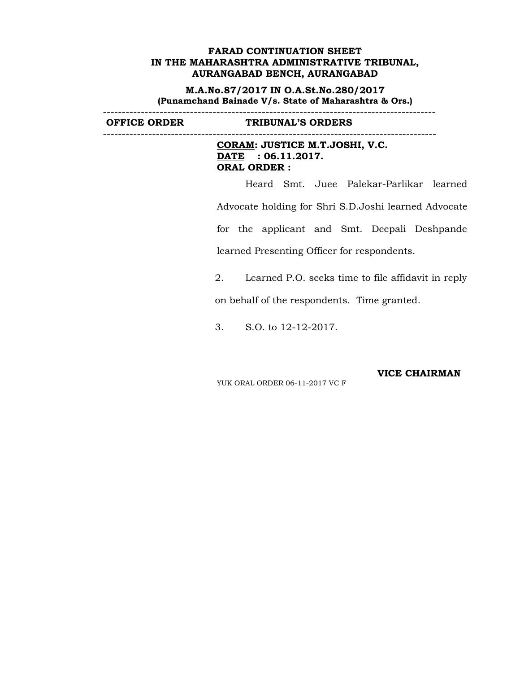**M.A.No.87/2017 IN O.A.St.No.280/2017 (Punamchand Bainade V/s. State of Maharashtra & Ors.)** ----------------------------------------------------------------------------------------

**OFFICE ORDER TRIBUNAL'S ORDERS**

----------------------------------------------------------------------------------------

**CORAM: JUSTICE M.T.JOSHI, V.C. DATE : 06.11.2017. ORAL ORDER :**

Heard Smt. Juee Palekar-Parlikar learned Advocate holding for Shri S.D.Joshi learned Advocate for the applicant and Smt. Deepali Deshpande learned Presenting Officer for respondents.

2. Learned P.O. seeks time to file affidavit in reply

on behalf of the respondents. Time granted.

3. S.O. to 12-12-2017.

**VICE CHAIRMAN**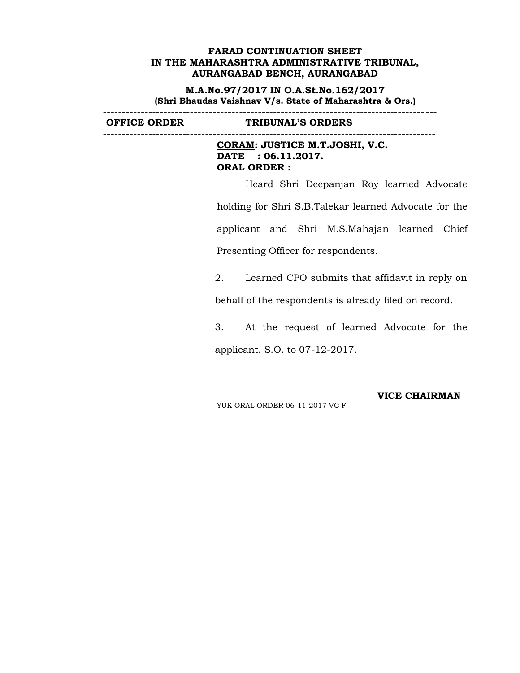**M.A.No.97/2017 IN O.A.St.No.162/2017 (Shri Bhaudas Vaishnav V/s. State of Maharashtra & Ors.)** ----------------------------------------------------------------------------------------

**OFFICE ORDER TRIBUNAL'S ORDERS**

----------------------------------------------------------------------------------------

**CORAM: JUSTICE M.T.JOSHI, V.C. DATE : 06.11.2017. ORAL ORDER :**

Heard Shri Deepanjan Roy learned Advocate holding for Shri S.B.Talekar learned Advocate for the applicant and Shri M.S.Mahajan learned Chief Presenting Officer for respondents.

2. Learned CPO submits that affidavit in reply on

behalf of the respondents is already filed on record.

3. At the request of learned Advocate for the applicant, S.O. to 07-12-2017.

YUK ORAL ORDER 06-11-2017 VC F

**VICE CHAIRMAN**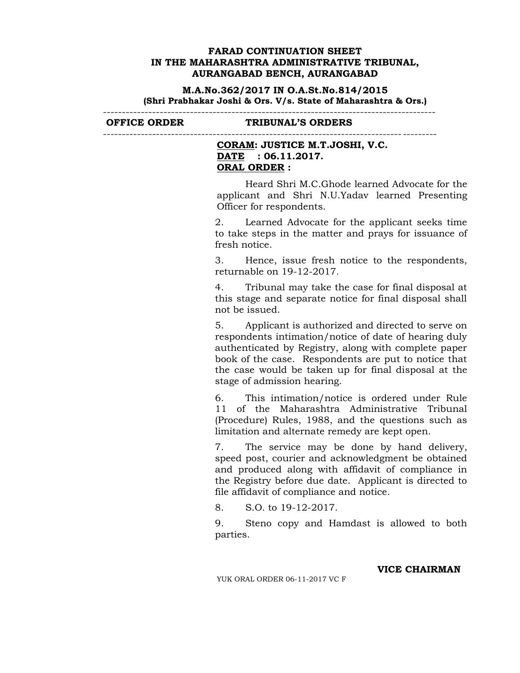**M.A.No.362/2017 IN O.A.St.No.814/2015 (Shri Prabhakar Joshi & Ors. V/s. State of Maharashtra & Ors.)**

----------------------------------------------------------------------------------------

**OFFICE ORDER TRIBUNAL'S ORDERS**

----------------------------------------------------------------------------------------

## **CORAM: JUSTICE M.T.JOSHI, V.C. DATE : 06.11.2017. ORAL ORDER :**

Heard Shri M.C.Ghode learned Advocate for the applicant and Shri N.U.Yadav learned Presenting Officer for respondents.

2. Learned Advocate for the applicant seeks time to take steps in the matter and prays for issuance of fresh notice.

3. Hence, issue fresh notice to the respondents, returnable on 19-12-2017.

4. Tribunal may take the case for final disposal at this stage and separate notice for final disposal shall not be issued.

5. Applicant is authorized and directed to serve on respondents intimation/notice of date of hearing duly authenticated by Registry, along with complete paper book of the case. Respondents are put to notice that the case would be taken up for final disposal at the stage of admission hearing.

6. This intimation/notice is ordered under Rule 11 of the Maharashtra Administrative Tribunal (Procedure) Rules, 1988, and the questions such as limitation and alternate remedy are kept open.

7. The service may be done by hand delivery, speed post, courier and acknowledgment be obtained and produced along with affidavit of compliance in the Registry before due date. Applicant is directed to file affidavit of compliance and notice.

8. S.O. to 19-12-2017.

9. Steno copy and Hamdast is allowed to both parties.

**VICE CHAIRMAN**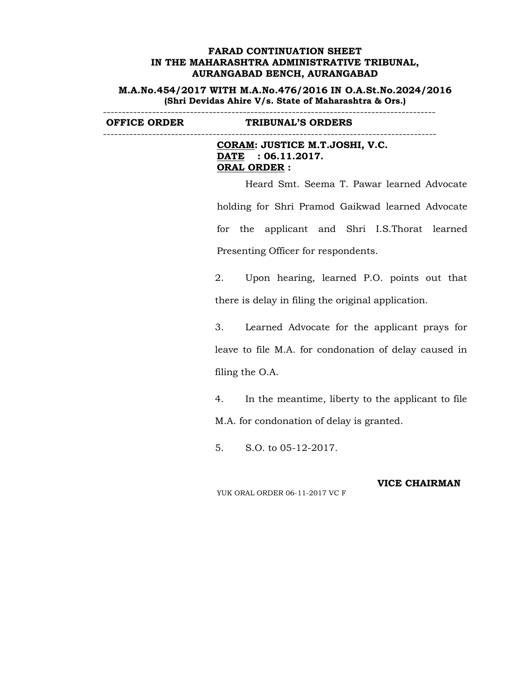**M.A.No.454/2017 WITH M.A.No.476/2016 IN O.A.St.No.2024/2016 (Shri Devidas Ahire V/s. State of Maharashtra & Ors.)**

**OFFICE ORDER TRIBUNAL'S ORDERS**

----------------------------------------------------------------------------------------

**CORAM: JUSTICE M.T.JOSHI, V.C. DATE : 06.11.2017. ORAL ORDER :**

----------------------------------------------------------------------------------------

Heard Smt. Seema T. Pawar learned Advocate holding for Shri Pramod Gaikwad learned Advocate for the applicant and Shri I.S.Thorat learned Presenting Officer for respondents.

2. Upon hearing, learned P.O. points out that there is delay in filing the original application.

3. Learned Advocate for the applicant prays for leave to file M.A. for condonation of delay caused in filing the O.A.

4. In the meantime, liberty to the applicant to file M.A. for condonation of delay is granted.

5. S.O. to 05-12-2017.

YUK ORAL ORDER 06-11-2017 VC F

## **VICE CHAIRMAN**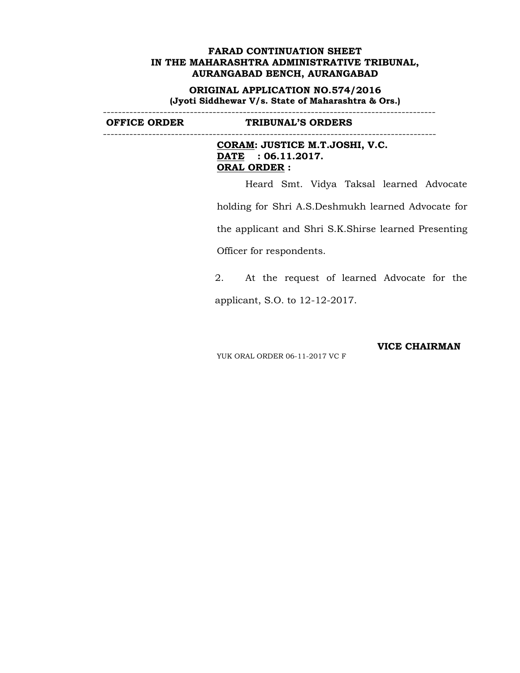**ORIGINAL APPLICATION NO.574/2016 (Jyoti Siddhewar V/s. State of Maharashtra & Ors.)**

----------------------------------------------------------------------------------------

**OFFICE ORDER TRIBUNAL'S ORDERS**

----------------------------------------------------------------------------------------

**CORAM: JUSTICE M.T.JOSHI, V.C. DATE : 06.11.2017. ORAL ORDER :**

Heard Smt. Vidya Taksal learned Advocate

holding for Shri A.S.Deshmukh learned Advocate for

the applicant and Shri S.K.Shirse learned Presenting

Officer for respondents.

2. At the request of learned Advocate for the applicant, S.O. to 12-12-2017.

**VICE CHAIRMAN**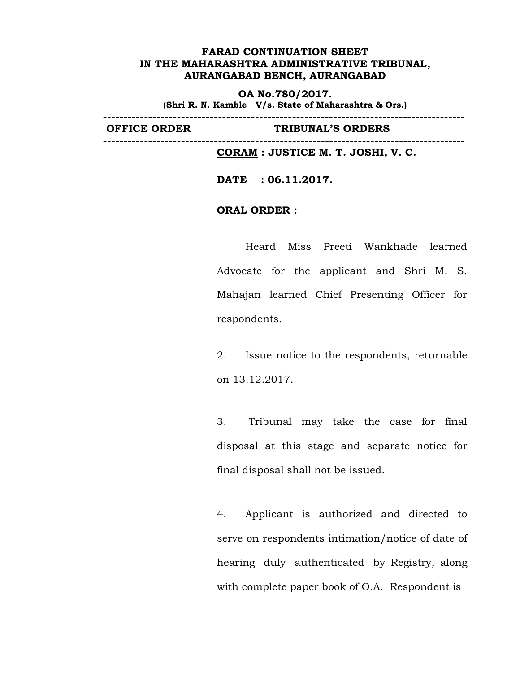**OA No.780/2017. (Shri R. N. Kamble V/s. State of Maharashtra & Ors.)**

----------------------------------------------------------------------------------------

----------------------------------------------------------------------------------------

**OFFICE ORDER TRIBUNAL'S ORDERS**

**CORAM : JUSTICE M. T. JOSHI, V. C.**

**DATE : 06.11.2017.**

## **ORAL ORDER :**

Heard Miss Preeti Wankhade learned Advocate for the applicant and Shri M. S. Mahajan learned Chief Presenting Officer for respondents.

2. Issue notice to the respondents, returnable on 13.12.2017.

3. Tribunal may take the case for final disposal at this stage and separate notice for final disposal shall not be issued.

4. Applicant is authorized and directed to serve on respondents intimation/notice of date of hearing duly authenticated by Registry, along with complete paper book of O.A. Respondent is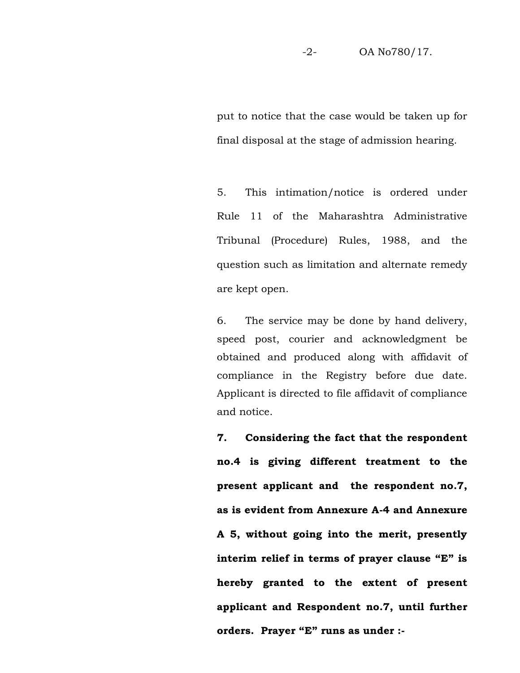put to notice that the case would be taken up for final disposal at the stage of admission hearing.

5. This intimation/notice is ordered under Rule 11 of the Maharashtra Administrative Tribunal (Procedure) Rules, 1988, and the question such as limitation and alternate remedy are kept open.

6. The service may be done by hand delivery, speed post, courier and acknowledgment be obtained and produced along with affidavit of compliance in the Registry before due date. Applicant is directed to file affidavit of compliance and notice.

**7. Considering the fact that the respondent no.4 is giving different treatment to the present applicant and the respondent no.7, as is evident from Annexure A-4 and Annexure A 5, without going into the merit, presently interim relief in terms of prayer clause "E" is hereby granted to the extent of present applicant and Respondent no.7, until further orders. Prayer "E" runs as under :-**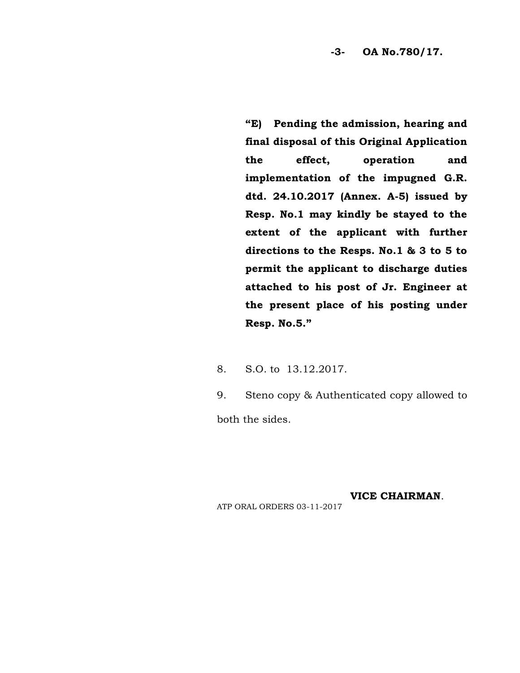**-3- OA No.780/17.**

**"E) Pending the admission, hearing and final disposal of this Original Application the effect, operation and implementation of the impugned G.R. dtd. 24.10.2017 (Annex. A-5) issued by Resp. No.1 may kindly be stayed to the extent of the applicant with further directions to the Resps. No.1 & 3 to 5 to permit the applicant to discharge duties attached to his post of Jr. Engineer at the present place of his posting under Resp. No.5."**

8. S.O. to 13.12.2017.

9. Steno copy & Authenticated copy allowed to both the sides.

**VICE CHAIRMAN**.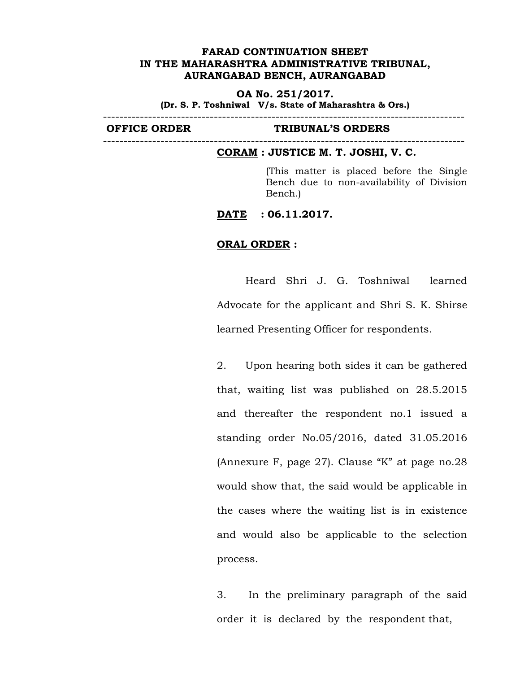**OA No. 251/2017. (Dr. S. P. Toshniwal V/s. State of Maharashtra & Ors.)**

----------------------------------------------------------------------------------------

----------------------------------------------------------------------------------------

#### **OFFICE ORDER TRIBUNAL'S ORDERS**

#### **CORAM : JUSTICE M. T. JOSHI, V. C.**

(This matter is placed before the Single Bench due to non-availability of Division Bench.)

**DATE : 06.11.2017.**

## **ORAL ORDER :**

Heard Shri J. G. Toshniwal learned Advocate for the applicant and Shri S. K. Shirse learned Presenting Officer for respondents.

2. Upon hearing both sides it can be gathered that, waiting list was published on 28.5.2015 and thereafter the respondent no.1 issued a standing order No.05/2016, dated 31.05.2016 (Annexure F, page 27). Clause "K" at page no.28 would show that, the said would be applicable in the cases where the waiting list is in existence and would also be applicable to the selection process.

3. In the preliminary paragraph of the said order it is declared by the respondent that,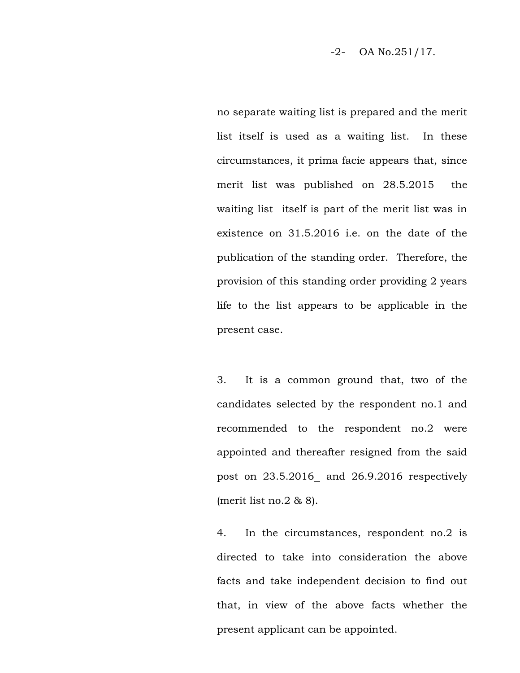-2- OA No.251/17.

no separate waiting list is prepared and the merit list itself is used as a waiting list. In these circumstances, it prima facie appears that, since merit list was published on 28.5.2015 the waiting list itself is part of the merit list was in existence on 31.5.2016 i.e. on the date of the publication of the standing order. Therefore, the provision of this standing order providing 2 years life to the list appears to be applicable in the present case.

3. It is a common ground that, two of the candidates selected by the respondent no.1 and recommended to the respondent no.2 were appointed and thereafter resigned from the said post on 23.5.2016 and 26.9.2016 respectively (merit list no.2  $& 8$ ).

4. In the circumstances, respondent no.2 is directed to take into consideration the above facts and take independent decision to find out that, in view of the above facts whether the present applicant can be appointed.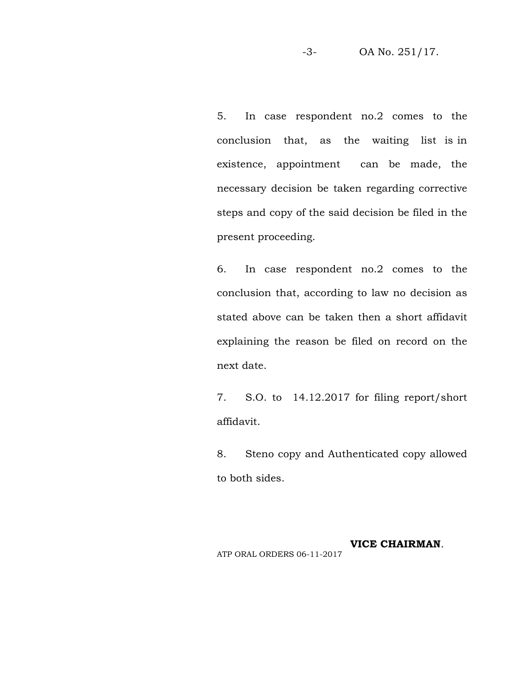5. In case respondent no.2 comes to the conclusion that, as the waiting list is in existence, appointment can be made, the necessary decision be taken regarding corrective steps and copy of the said decision be filed in the present proceeding.

6. In case respondent no.2 comes to the conclusion that, according to law no decision as stated above can be taken then a short affidavit explaining the reason be filed on record on the next date.

7. S.O. to 14.12.2017 for filing report/short affidavit.

8. Steno copy and Authenticated copy allowed to both sides.

# **VICE CHAIRMAN**.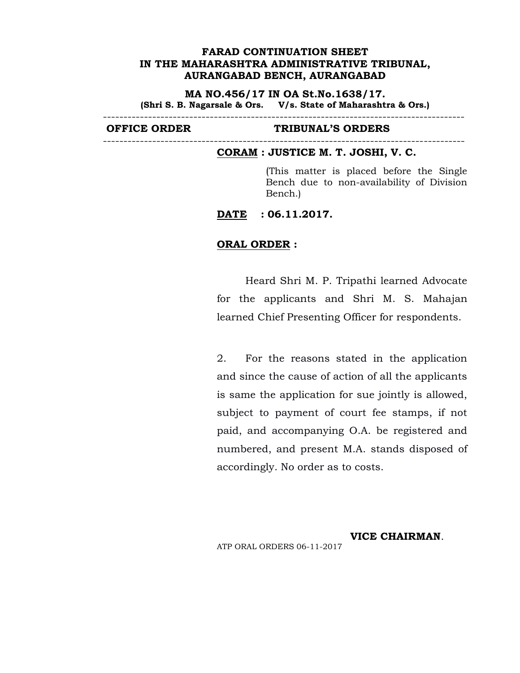**MA NO.456/17 IN OA St.No.1638/17. (Shri S. B. Nagarsale & Ors. V/s. State of Maharashtra & Ors.)** ----------------------------------------------------------------------------------------

----------------------------------------------------------------------------------------

### **OFFICE ORDER TRIBUNAL'S ORDERS**

#### **CORAM : JUSTICE M. T. JOSHI, V. C.**

(This matter is placed before the Single Bench due to non-availability of Division Bench.)

**DATE : 06.11.2017.**

## **ORAL ORDER :**

Heard Shri M. P. Tripathi learned Advocate for the applicants and Shri M. S. Mahajan learned Chief Presenting Officer for respondents.

2. For the reasons stated in the application and since the cause of action of all the applicants is same the application for sue jointly is allowed, subject to payment of court fee stamps, if not paid, and accompanying O.A. be registered and numbered, and present M.A. stands disposed of accordingly. No order as to costs.

**VICE CHAIRMAN**. ATP ORAL ORDERS 06-11-2017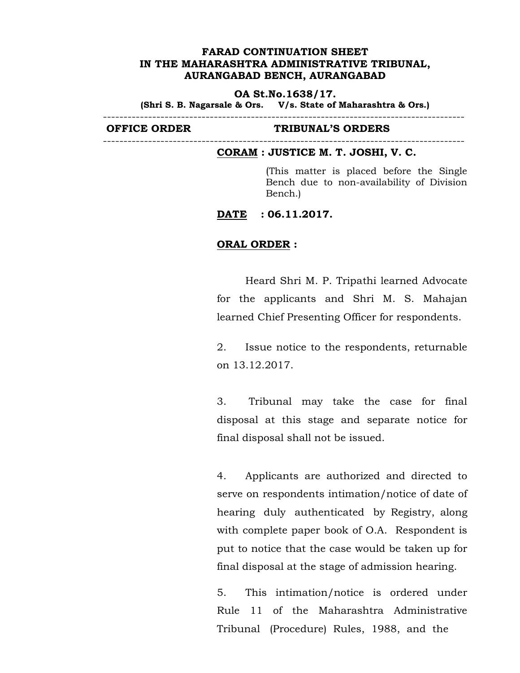#### **OA St.No.1638/17.**

**(Shri S. B. Nagarsale & Ors. V/s. State of Maharashtra & Ors.)**

----------------------------------------------------------------------------------------

----------------------------------------------------------------------------------------

#### **OFFICE ORDER TRIBUNAL'S ORDERS**

#### **CORAM : JUSTICE M. T. JOSHI, V. C.**

(This matter is placed before the Single Bench due to non-availability of Division Bench.)

**DATE : 06.11.2017.**

## **ORAL ORDER :**

Heard Shri M. P. Tripathi learned Advocate for the applicants and Shri M. S. Mahajan learned Chief Presenting Officer for respondents.

2. Issue notice to the respondents, returnable on 13.12.2017.

3. Tribunal may take the case for final disposal at this stage and separate notice for final disposal shall not be issued.

4. Applicants are authorized and directed to serve on respondents intimation/notice of date of hearing duly authenticated by Registry, along with complete paper book of O.A. Respondent is put to notice that the case would be taken up for final disposal at the stage of admission hearing.

5. This intimation/notice is ordered under Rule 11 of the Maharashtra Administrative Tribunal (Procedure) Rules, 1988, and the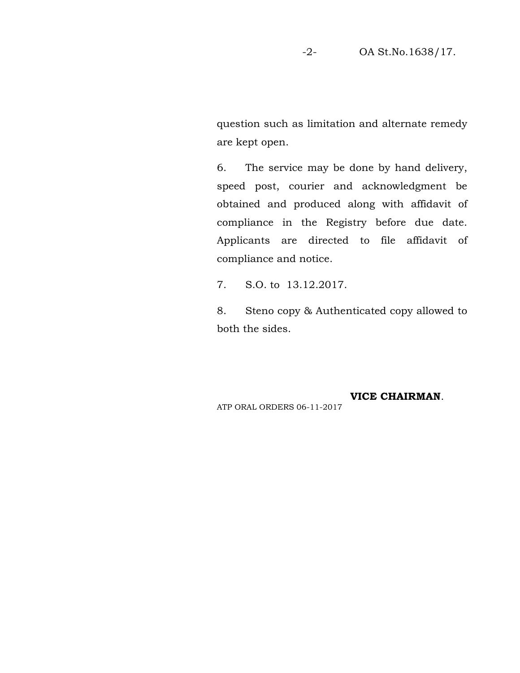question such as limitation and alternate remedy are kept open.

6. The service may be done by hand delivery, speed post, courier and acknowledgment be obtained and produced along with affidavit of compliance in the Registry before due date. Applicants are directed to file affidavit of compliance and notice.

7. S.O. to 13.12.2017.

8. Steno copy & Authenticated copy allowed to both the sides.

# **VICE CHAIRMAN**.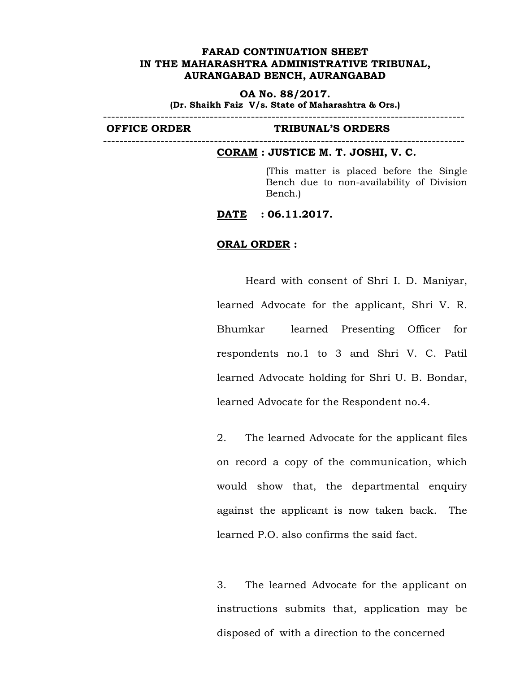**OA No. 88/2017.**

**(Dr. Shaikh Faiz V/s. State of Maharashtra & Ors.)** ----------------------------------------------------------------------------------------

----------------------------------------------------------------------------------------

#### **OFFICE ORDER TRIBUNAL'S ORDERS**

#### **CORAM : JUSTICE M. T. JOSHI, V. C.**

(This matter is placed before the Single Bench due to non-availability of Division Bench.)

**DATE : 06.11.2017.**

## **ORAL ORDER :**

Heard with consent of Shri I. D. Maniyar, learned Advocate for the applicant, Shri V. R. Bhumkar learned Presenting Officer for respondents no.1 to 3 and Shri V. C. Patil learned Advocate holding for Shri U. B. Bondar, learned Advocate for the Respondent no.4.

2. The learned Advocate for the applicant files on record a copy of the communication, which would show that, the departmental enquiry against the applicant is now taken back. The learned P.O. also confirms the said fact.

3. The learned Advocate for the applicant on instructions submits that, application may be disposed of with a direction to the concerned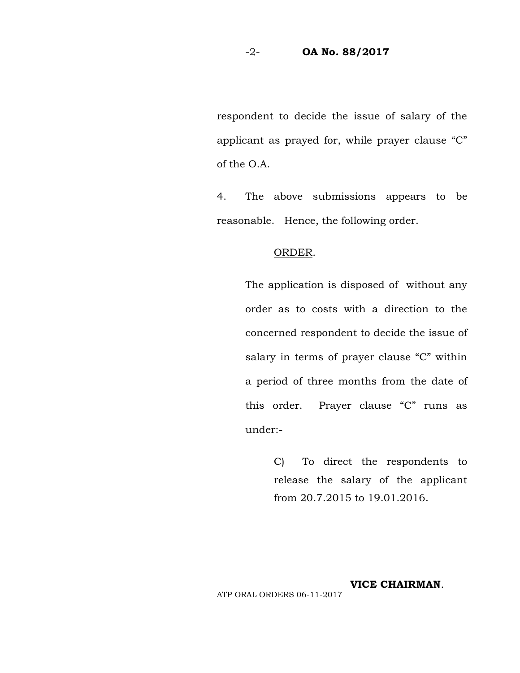## -2- **OA No. 88/2017**

respondent to decide the issue of salary of the applicant as prayed for, while prayer clause "C" of the O.A.

4. The above submissions appears to be reasonable. Hence, the following order.

### ORDER.

The application is disposed of without any order as to costs with a direction to the concerned respondent to decide the issue of salary in terms of prayer clause "C" within a period of three months from the date of this order. Prayer clause "C" runs as under:-<br>C) To direct the respondents to

release the salary of the applicant from 20.7.2015 to 19.01.2016.

# **VICE CHAIRMAN**.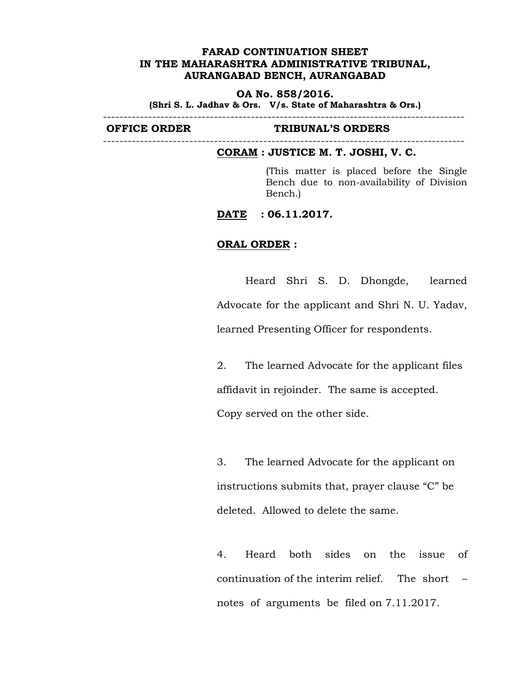#### **OA No. 858/2016.**

**(Shri S. L. Jadhav & Ors. V/s. State of Maharashtra & Ors.)**

----------------------------------------------------------------------------------------

----------------------------------------------------------------------------------------

### **OFFICE ORDER TRIBUNAL'S ORDERS**

#### **CORAM : JUSTICE M. T. JOSHI, V. C.**

(This matter is placed before the Single Bench due to non-availability of Division Bench.)

**DATE : 06.11.2017.**

## **ORAL ORDER :**

Heard Shri S. D. Dhongde, learned Advocate for the applicant and Shri N. U. Yadav, learned Presenting Officer for respondents.

2. The learned Advocate for the applicant files affidavit in rejoinder. The same is accepted. Copy served on the other side.

3. The learned Advocate for the applicant on instructions submits that, prayer clause "C" be deleted. Allowed to delete the same.

4. Heard both sides on the issue of continuation of the interim relief. The short – notes of arguments be filed on 7.11.2017.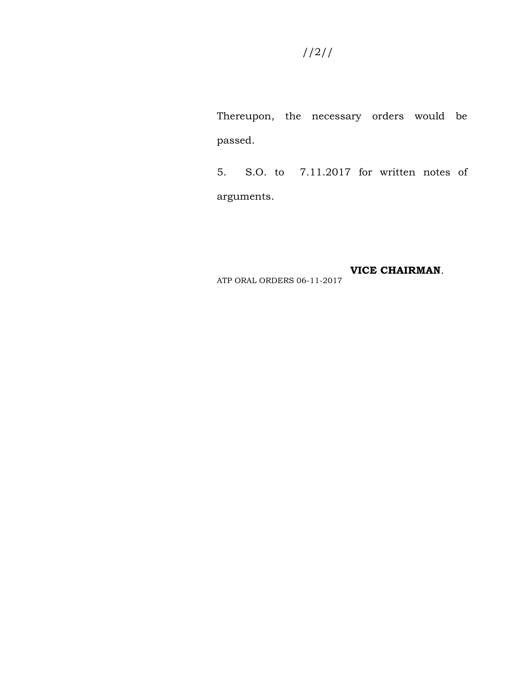Thereupon, the necessary orders would be passed.

5. S.O. to 7.11.2017 for written notes of arguments.

**VICE CHAIRMAN**.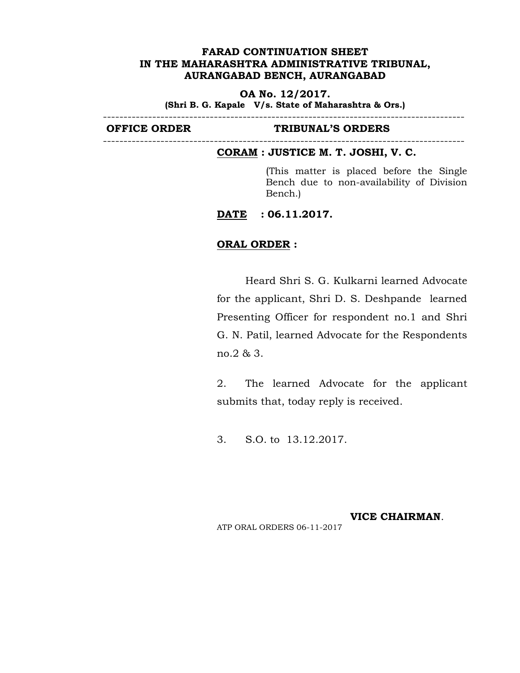### **OA No. 12/2017.**

----------------------------------------------------------------------------------------

**(Shri B. G. Kapale V/s. State of Maharashtra & Ors.)**

----------------------------------------------------------------------------------------

#### **OFFICE ORDER TRIBUNAL'S ORDERS**

# **CORAM : JUSTICE M. T. JOSHI, V. C.**

(This matter is placed before the Single Bench due to non-availability of Division Bench.)

**DATE : 06.11.2017.**

## **ORAL ORDER :**

Heard Shri S. G. Kulkarni learned Advocate for the applicant, Shri D. S. Deshpande learned Presenting Officer for respondent no.1 and Shri G. N. Patil, learned Advocate for the Respondents no.2 & 3.

2. The learned Advocate for the applicant submits that, today reply is received.

3. S.O. to 13.12.2017.

**VICE CHAIRMAN**.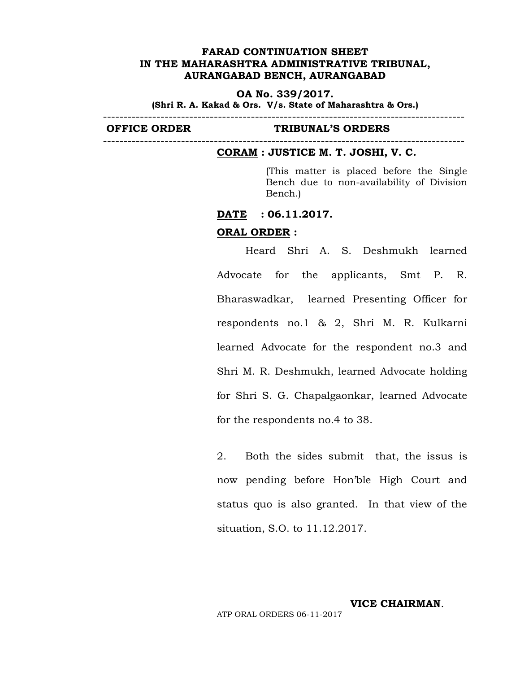**OA No. 339/2017.**

**(Shri R. A. Kakad & Ors. V/s. State of Maharashtra & Ors.)**

----------------------------------------------------------------------------------------

----------------------------------------------------------------------------------------

#### **OFFICE ORDER TRIBUNAL'S ORDERS**

#### **CORAM : JUSTICE M. T. JOSHI, V. C.**

(This matter is placed before the Single Bench due to non-availability of Division Bench.)

### **DATE : 06.11.2017.**

#### **ORAL ORDER :**

Heard Shri A. S. Deshmukh learned Advocate for the applicants, Smt P. R. Bharaswadkar, learned Presenting Officer for respondents no.1 & 2, Shri M. R. Kulkarni learned Advocate for the respondent no.3 and Shri M. R. Deshmukh, learned Advocate holding for Shri S. G. Chapalgaonkar, learned Advocate for the respondents no.4 to 38.

2. Both the sides submit that, the issus is now pending before Hon'ble High Court and status quo is also granted. In that view of the situation, S.O. to 11.12.2017.

**VICE CHAIRMAN**.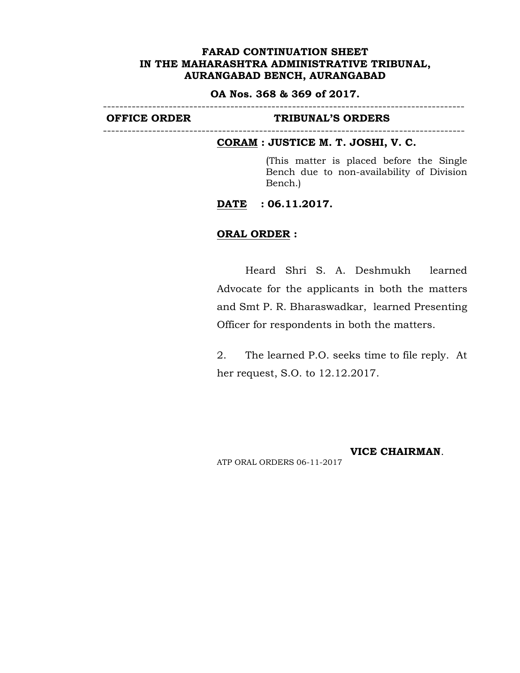#### **OA Nos. 368 & 369 of 2017.** ----------------------------------------------------------------------------------------

#### **OFFICE ORDER TRIBUNAL'S ORDERS**

----------------------------------------------------------------------------------------

# **CORAM : JUSTICE M. T. JOSHI, V. C.**

(This matter is placed before the Single Bench due to non-availability of Division Bench.)

## **DATE : 06.11.2017.**

### **ORAL ORDER :**

Heard Shri S. A. Deshmukh learned Advocate for the applicants in both the matters and Smt P. R. Bharaswadkar, learned Presenting Officer for respondents in both the matters.

2. The learned P.O. seeks time to file reply. At her request, S.O. to 12.12.2017.

**VICE CHAIRMAN**.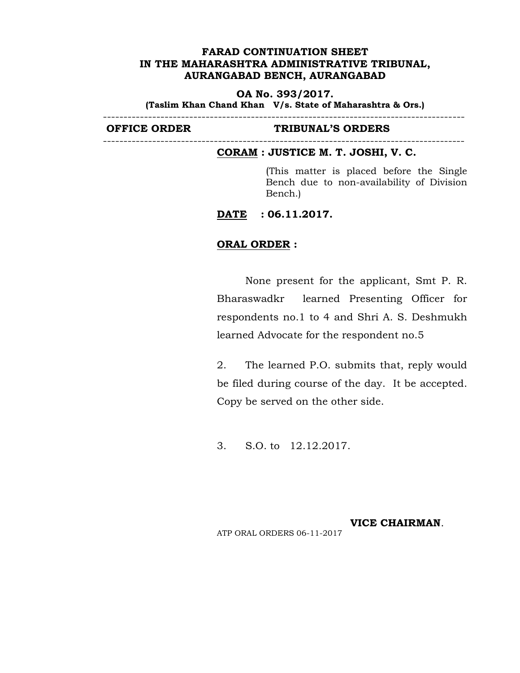**OA No. 393/2017.**

**(Taslim Khan Chand Khan V/s. State of Maharashtra & Ors.)**

----------------------------------------------------------------------------------------

----------------------------------------------------------------------------------------

# **OFFICE ORDER TRIBUNAL'S ORDERS**

#### **CORAM : JUSTICE M. T. JOSHI, V. C.**

(This matter is placed before the Single Bench due to non-availability of Division Bench.)

**DATE : 06.11.2017.**

# **ORAL ORDER :**

None present for the applicant, Smt P. R. Bharaswadkr learned Presenting Officer for respondents no.1 to 4 and Shri A. S. Deshmukh learned Advocate for the respondent no.5

2. The learned P.O. submits that, reply would be filed during course of the day. It be accepted. Copy be served on the other side.

3. S.O. to 12.12.2017.

#### **VICE CHAIRMAN**.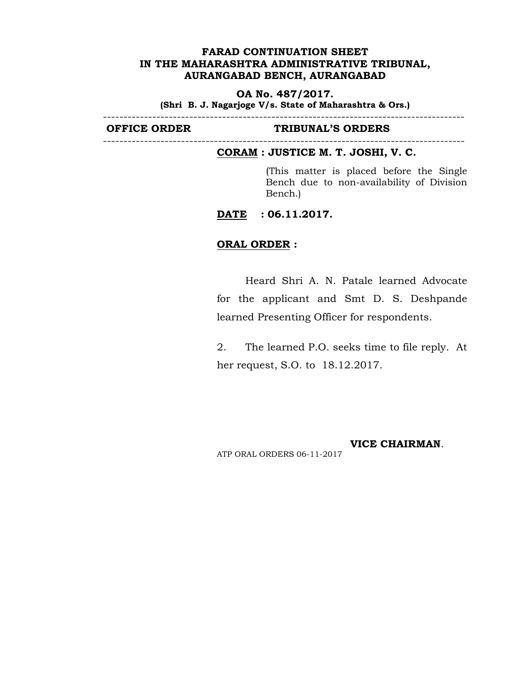**OA No. 487/2017. (Shri B. J. Nagarjoge V/s. State of Maharashtra & Ors.)**

----------------------------------------------------------------------------------------

----------------------------------------------------------------------------------------

#### **OFFICE ORDER TRIBUNAL'S ORDERS**

#### **CORAM : JUSTICE M. T. JOSHI, V. C.**

(This matter is placed before the Single Bench due to non-availability of Division Bench.)

**DATE : 06.11.2017.**

## **ORAL ORDER :**

Heard Shri A. N. Patale learned Advocate for the applicant and Smt D. S. Deshpande learned Presenting Officer for respondents.

2. The learned P.O. seeks time to file reply. At her request, S.O. to 18.12.2017.

**VICE CHAIRMAN**.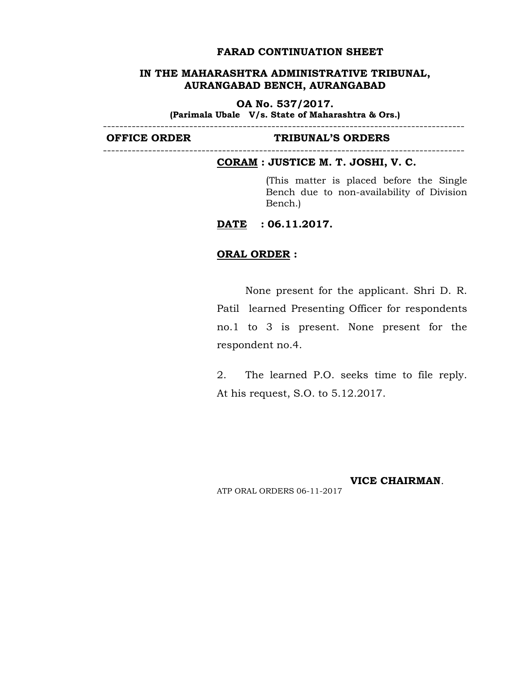#### **FARAD CONTINUATION SHEET**

## **IN THE MAHARASHTRA ADMINISTRATIVE TRIBUNAL, AURANGABAD BENCH, AURANGABAD**

**OA No. 537/2017.**

**(Parimala Ubale V/s. State of Maharashtra & Ors.)**

----------------------------------------------------------------------------------------

#### **OFFICE ORDER TRIBUNAL'S ORDERS**

#### ----------------------------------------------------------------------------------------

## **CORAM : JUSTICE M. T. JOSHI, V. C.**

(This matter is placed before the Single Bench due to non-availability of Division Bench.)

**DATE : 06.11.2017.**

### **ORAL ORDER :**

None present for the applicant. Shri D. R. Patil learned Presenting Officer for respondents no.1 to 3 is present. None present for the respondent no.4.

2. The learned P.O. seeks time to file reply. At his request, S.O. to 5.12.2017.

**VICE CHAIRMAN**. ATP ORAL ORDERS 06-11-2017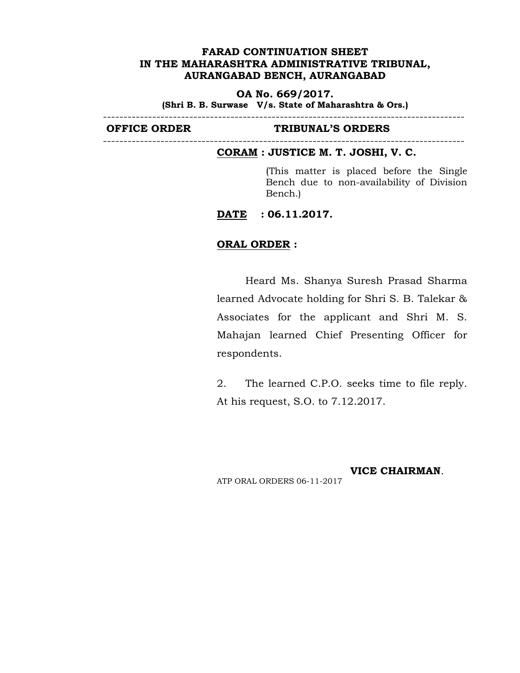**OA No. 669/2017.**

**(Shri B. B. Surwase V/s. State of Maharashtra & Ors.)**

----------------------------------------------------------------------------------------

----------------------------------------------------------------------------------------

### **OFFICE ORDER TRIBUNAL'S ORDERS**

#### **CORAM : JUSTICE M. T. JOSHI, V. C.**

(This matter is placed before the Single Bench due to non-availability of Division Bench.)

**DATE : 06.11.2017.**

## **ORAL ORDER :**

Heard Ms. Shanya Suresh Prasad Sharma learned Advocate holding for Shri S. B. Talekar & Associates for the applicant and Shri M. S. Mahajan learned Chief Presenting Officer for respondents.

2. The learned C.P.O. seeks time to file reply. At his request, S.O. to 7.12.2017.

**VICE CHAIRMAN**.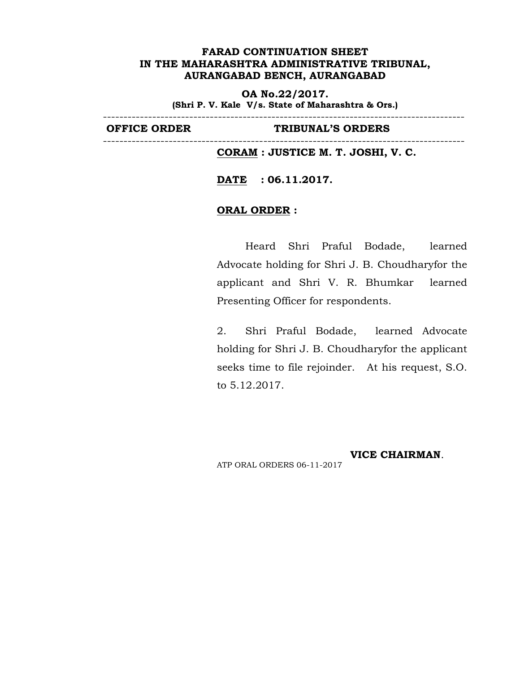**OA No.22/2017. (Shri P. V. Kale V/s. State of Maharashtra & Ors.)**

----------------------------------------------------------------------------------------

----------------------------------------------------------------------------------------

**OFFICE ORDER TRIBUNAL'S ORDERS**

**CORAM : JUSTICE M. T. JOSHI, V. C.**

**DATE : 06.11.2017.**

# **ORAL ORDER :**

Heard Shri Praful Bodade, learned Advocate holding for Shri J. B. Choudharyfor the applicant and Shri V. R. Bhumkar learned Presenting Officer for respondents.

2. Shri Praful Bodade, learned Advocate holding for Shri J. B. Choudharyfor the applicant seeks time to file rejoinder. At his request, S.O. to 5.12.2017.

**VICE CHAIRMAN**.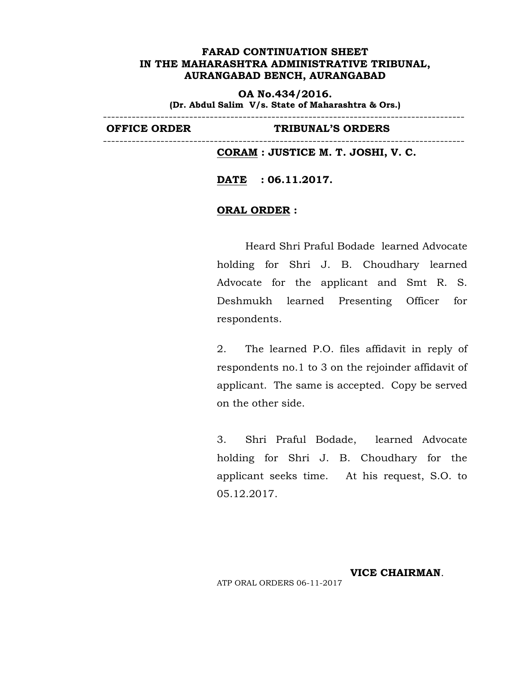**OA No.434/2016. (Dr. Abdul Salim V/s. State of Maharashtra & Ors.)**

----------------------------------------------------------------------------------------

----------------------------------------------------------------------------------------

**OFFICE ORDER TRIBUNAL'S ORDERS**

**CORAM : JUSTICE M. T. JOSHI, V. C.**

**DATE : 06.11.2017.**

# **ORAL ORDER :**

Heard Shri Praful Bodade learned Advocate holding for Shri J. B. Choudhary learned Advocate for the applicant and Smt R. S. Deshmukh learned Presenting Officer for respondents.

2. The learned P.O. files affidavit in reply of respondents no.1 to 3 on the rejoinder affidavit of applicant. The same is accepted. Copy be served on the other side.

3. Shri Praful Bodade, learned Advocate holding for Shri J. B. Choudhary for the applicant seeks time. At his request, S.O. to 05.12.2017.

**VICE CHAIRMAN**.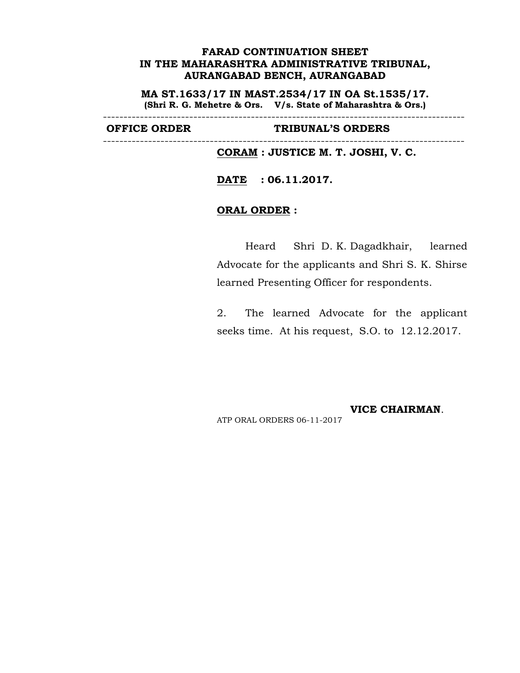**MA ST.1633/17 IN MAST.2534/17 IN OA St.1535/17. (Shri R. G. Mehetre & Ors. V/s. State of Maharashtra & Ors.)**

----------------------------------------------------------------------------------------

----------------------------------------------------------------------------------------

**OFFICE ORDER TRIBUNAL'S ORDERS**

**CORAM : JUSTICE M. T. JOSHI, V. C.**

**DATE : 06.11.2017.**

# **ORAL ORDER :**

Heard Shri D. K. Dagadkhair, learned Advocate for the applicants and Shri S. K. Shirse learned Presenting Officer for respondents.

2. The learned Advocate for the applicant seeks time. At his request, S.O. to 12.12.2017.

**VICE CHAIRMAN**. ATP ORAL ORDERS 06-11-2017